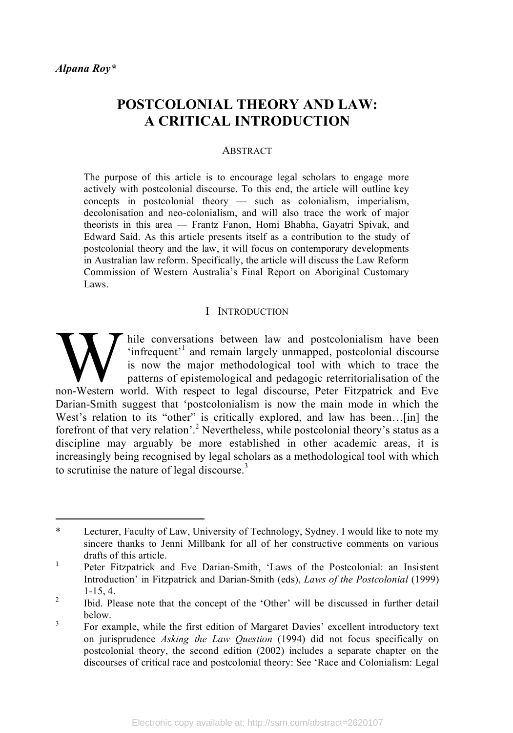# **POSTCOLONIAL THEORY AND LAW: A CRITICAL INTRODUCTION**

#### ABSTRACT

The purpose of this article is to encourage legal scholars to engage more actively with postcolonial discourse. To this end, the article will outline key concepts in postcolonial theory — such as colonialism, imperialism, decolonisation and neo-colonialism, and will also trace the work of major theorists in this area — Frantz Fanon, Homi Bhabha, Gayatri Spivak, and Edward Said. As this article presents itself as a contribution to the study of postcolonial theory and the law, it will focus on contemporary developments in Australian law reform. Specifically, the article will discuss the Law Reform Commission of Western Australia's Final Report on Aboriginal Customary Laws.

#### I INTRODUCTION

hile conversations between law and postcolonialism have been 'infrequent'<sup>1</sup> and remain largely unmapped, postcolonial discourse is now the major methodological tool with which to trace the patterns of epistemological and pedagogic reterritorialisation of the Thile conversations between law and postcolonialism have been<br>
infrequent'<sup>1</sup> and remain largely unmapped, postcolonial discourse<br>
is now the major methodological tool with which to trace the<br>
patterns of epistemological a Darian-Smith suggest that 'postcolonialism is now the main mode in which the West's relation to its "other" is critically explored, and law has been...[in] the forefront of that very relation'.<sup>2</sup> Nevertheless, while postcolonial theory's status as a discipline may arguably be more established in other academic areas, it is increasingly being recognised by legal scholars as a methodological tool with which to scrutinise the nature of legal discourse. $3$ 

 <sup>\*</sup> Lecturer, Faculty of Law, University of Technology, Sydney. <sup>I</sup> would like to note my sincere thanks to Jenni Millbank for all of her constructive comments on various drafts of this article.<br><sup>1</sup> Peter Fitzpatrick and Eve Darian-Smith, 'Laws of the Postcolonial: an Insistent

Introduction' in Fitzpatrick and Darian-Smith (eds), *Laws of the Postcolonial* (1999)

<sup>1-15,</sup> 4. <sup>2</sup> Ibid. Please note that the concept of the 'Other' will be discussed in further detail below.<br><sup>3</sup> For example, while the first edition of Margaret Davies' excellent introductory text

on jurisprudence *Asking the Law Question* (1994) did not focus specifically on postcolonial theory, the second edition (2002) includes a separate chapter on the discourses of critical race and postcolonial theory: See 'Race and Colonialism: Legal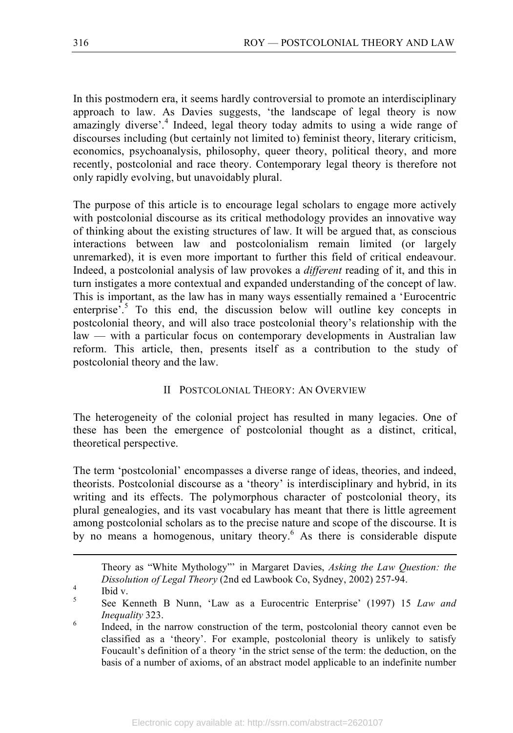In this postmodern era, it seems hardly controversial to promote an interdisciplinary approach to law. As Davies suggests, 'the landscape of legal theory is now amazingly diverse'.<sup>4</sup> Indeed, legal theory today admits to using a wide range of discourses including (but certainly not limited to) feminist theory, literary criticism, economics, psychoanalysis, philosophy, queer theory, political theory, and more recently, postcolonial and race theory. Contemporary legal theory is therefore not only rapidly evolving, but unavoidably plural.

The purpose of this article is to encourage legal scholars to engage more actively with postcolonial discourse as its critical methodology provides an innovative way of thinking about the existing structures of law. It will be argued that, as conscious interactions between law and postcolonialism remain limited (or largely unremarked), it is even more important to further this field of critical endeavour. Indeed, a postcolonial analysis of law provokes a *different* reading of it, and this in turn instigates a more contextual and expanded understanding of the concept of law. This is important, as the law has in many ways essentially remained a 'Eurocentric enterprise<sup>5</sup>. To this end, the discussion below will outline key concepts in postcolonial theory, and will also trace postcolonial theory's relationship with the law — with a particular focus on contemporary developments in Australian law reform. This article, then, presents itself as a contribution to the study of postcolonial theory and the law.

### II POSTCOLONIAL THEORY: AN OVERVIEW

The heterogeneity of the colonial project has resulted in many legacies. One of these has been the emergence of postcolonial thought as a distinct, critical, theoretical perspective.

The term 'postcolonial' encompasses a diverse range of ideas, theories, and indeed, theorists. Postcolonial discourse as a 'theory' is interdisciplinary and hybrid, in its writing and its effects. The polymorphous character of postcolonial theory, its plural genealogies, and its vast vocabulary has meant that there is little agreement among postcolonial scholars as to the precise nature and scope of the discourse. It is by no means a homogenous, unitary theory. <sup>6</sup> As there is considerable dispute

 Theory as "White Mythology"' in Margaret Davies, *Asking the Law Question: the Dissolution of Legal Theory* (2nd ed Lawbook Co, Sydney, 2002) 257-94.<br><sup>4</sup> Ibid v. See Kenneth B Nunn, 'Law as a Eurocentric Enterprise' (1997) 15 *Law and* 

*Inequality* 323. *Inequality* 323. **Indeed, in the narrow construction of the term, postcolonial theory cannot even be <b>Indeed**, in the narrow construction of the term, postcolonial theory cannot even be classified as a 'theory'. For example, postcolonial theory is unlikely to satisfy Foucault's definition of a theory 'in the strict sense of the term: the deduction, on the basis of a number of axioms, of an abstract model applicable to an indefinite number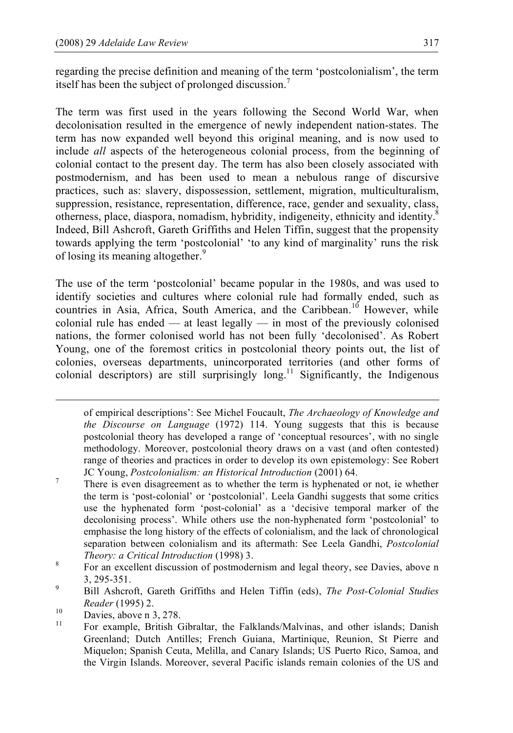regarding the precise definition and meaning of the term 'postcolonialism', the term itself has been the subject of prolonged discussion.<sup>7</sup>

The term was first used in the years following the Second World War, when decolonisation resulted in the emergence of newly independent nation-states. The term has now expanded well beyond this original meaning, and is now used to include *all* aspects of the heterogeneous colonial process, from the beginning of colonial contact to the present day. The term has also been closely associated with postmodernism, and has been used to mean a nebulous range of discursive practices, such as: slavery, dispossession, settlement, migration, multiculturalism, suppression, resistance, representation, difference, race, gender and sexuality, class, otherness, place, diaspora, nomadism, hybridity, indigeneity, ethnicity and identity.<sup>8</sup> Indeed, Bill Ashcroft, Gareth Griffiths and Helen Tiffin, suggest that the propensity towards applying the term 'postcolonial' 'to any kind of marginality' runs the risk of losing its meaning altogether.<sup>9</sup>

The use of the term 'postcolonial' became popular in the 1980s, and was used to identify societies and cultures where colonial rule had formally ended, such as countries in Asia, Africa, South America, and the Caribbean.<sup>10</sup> However, while colonial rule has ended — at least legally — in most of the previously colonised nations, the former colonised world has not been fully 'decolonised'. As Robert Young, one of the foremost critics in postcolonial theory points out, the list of colonies, overseas departments, unincorporated territories (and other forms of colonial descriptors) are still surprisingly long.<sup>11</sup> Significantly, the Indigenous

 of empirical descriptions': See Michel Foucault, *The Archaeology of Knowledge and the Discourse on Language* (1972) 114. Young suggests that this is because postcolonial theory has developed a range of 'conceptual resources', with no single methodology. Moreover, postcolonial theory draws on a vast (and often contested) range of theories and practices in order to develop its own epistemology: See Robert

JC Young, *Postcolonialism: an Historical Introduction* (2001) 64. <sup>7</sup> There is even disagreement as to whether the term is hyphenated or not, ie whether the term is 'post-colonial' or 'postcolonial'. Leela Gandhi suggests that some critics use the hyphenated form 'post-colonial' as a 'decisive temporal marker of the decolonising process'. While others use the non-hyphenated form 'postcolonial' to emphasise the long history of the effects of colonialism, and the lack of chronological separation between colonialism and its aftermath: See Leela Gandhi, *Postcolonial*

*Theory: a Critical Introduction* (1998) 3.<br><sup>8</sup> For an excellent discussion of postmodernism and legal theory, see Davies, above n 3, 295-351. <sup>9</sup> Bill Ashcroft, Gareth Griffiths and Helen Tiffin (eds), *The Post-Colonial Studies*

*Reader* (1995) 2.<br>
Davies, above n 3, 278.<br>
<sup>11</sup> For example, British Gibraltar, the Falklands/Malvinas, and other islands; Danish Greenland; Dutch Antilles; French Guiana, Martinique, Reunion, St Pierre and Miquelon; Spanish Ceuta, Melilla, and Canary Islands; US Puerto Rico, Samoa, and the Virgin Islands. Moreover, several Pacific islands remain colonies of the US and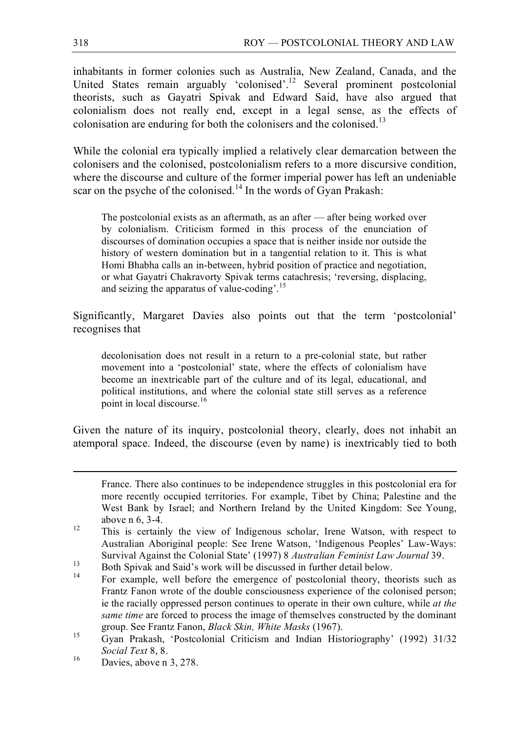inhabitants in former colonies such as Australia, New Zealand, Canada, and the United States remain arguably 'colonised'.<sup>12</sup> Several prominent postcolonial theorists, such as Gayatri Spivak and Edward Said, have also argued that colonialism does not really end, except in a legal sense, as the effects of colonisation are enduring for both the colonisers and the colonised.<sup>13</sup>

While the colonial era typically implied a relatively clear demarcation between the colonisers and the colonised, postcolonialism refers to a more discursive condition, where the discourse and culture of the former imperial power has left an undeniable scar on the psyche of the colonised.<sup>14</sup> In the words of Gyan Prakash:

The postcolonial exists as an aftermath, as an after — after being worked over by colonialism. Criticism formed in this process of the enunciation of discourses of domination occupies a space that is neither inside nor outside the history of western domination but in a tangential relation to it. This is what Homi Bhabha calls an in-between, hybrid position of practice and negotiation, or what Gayatri Chakravorty Spivak terms catachresis; 'reversing, displacing, and seizing the apparatus of value-coding'. 15

Significantly, Margaret Davies also points out that the term 'postcolonial' recognises that

decolonisation does not result in a return to a pre-colonial state, but rather movement into a 'postcolonial' state, where the effects of colonialism have become an inextricable part of the culture and of its legal, educational, and political institutions, and where the colonial state still serves as a reference point in local discourse.<sup>16</sup>

Given the nature of its inquiry, postcolonial theory, clearly, does not inhabit an atemporal space. Indeed, the discourse (even by name) is inextricably tied to both

France. There also continues to be independence struggles in this postcolonial era for more recently occupied territories. For example, Tibet by China; Palestine and the West Bank by Israel; and Northern Ireland by the United Kingdom: See Young,

above n 6, 3-4.<br><sup>12</sup> This is certainly the view of Indigenous scholar, Irene Watson, with respect to Australian Aboriginal people: See Irene Watson, 'Indigenous Peoples' Law-Ways: Survival Against the Colonial State' (1997) 8 *Australian Feminist Law Journal* 39.<br>Both Spivak and Said's work will be discussed in further detail below.<br>For example, well before the emergence of postcolonial theory, theo

Frantz Fanon wrote of the double consciousness experience of the colonised person; ie the racially oppressed person continues to operate in their own culture, while *at the same time* are forced to process the image of themselves constructed by the dominant

group. See Frantz Fanon, *Black Skin, White Masks* (1967).<br><sup>15</sup> Gyan Prakash, 'Postcolonial Criticism and Indian Historiography' (1992) 31/32 *Social Text* 8, 8.<br><sup>16</sup> Davies, above n 3, 278.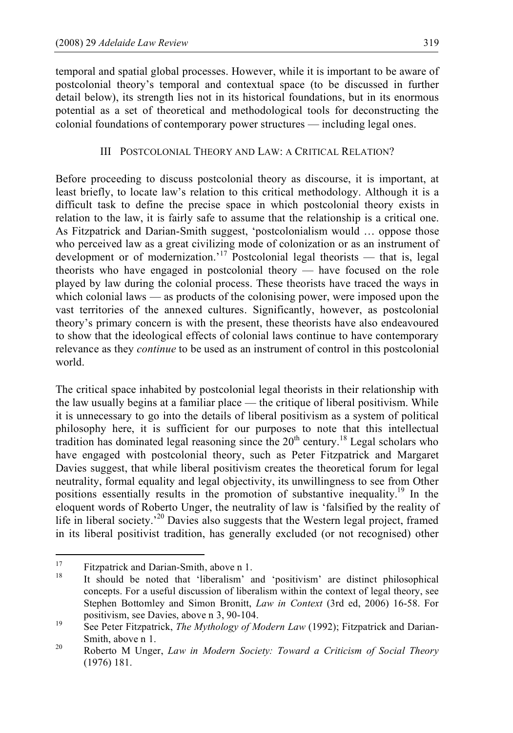temporal and spatial global processes. However, while it is important to be aware of postcolonial theory's temporal and contextual space (to be discussed in further detail below), its strength lies not in its historical foundations, but in its enormous potential as a set of theoretical and methodological tools for deconstructing the colonial foundations of contemporary power structures — including legal ones.

# III POSTCOLONIAL THEORY AND LAW: A CRITICAL RELATION?

Before proceeding to discuss postcolonial theory as discourse, it is important, at least briefly, to locate law's relation to this critical methodology. Although it is a difficult task to define the precise space in which postcolonial theory exists in relation to the law, it is fairly safe to assume that the relationship is a critical one. As Fitzpatrick and Darian-Smith suggest, 'postcolonialism would … oppose those who perceived law as a great civilizing mode of colonization or as an instrument of development or of modernization.<sup>17</sup> Postcolonial legal theorists — that is, legal theorists who have engaged in postcolonial theory — have focused on the role played by law during the colonial process. These theorists have traced the ways in which colonial laws — as products of the colonising power, were imposed upon the vast territories of the annexed cultures. Significantly, however, as postcolonial theory's primary concern is with the present, these theorists have also endeavoured to show that the ideological effects of colonial laws continue to have contemporary relevance as they *continue* to be used as an instrument of control in this postcolonial world.

The critical space inhabited by postcolonial legal theorists in their relationship with the law usually begins at a familiar place — the critique of liberal positivism. While it is unnecessary to go into the details of liberal positivism as a system of political philosophy here, it is sufficient for our purposes to note that this intellectual tradition has dominated legal reasoning since the  $20<sup>th</sup>$  century.<sup>18</sup> Legal scholars who have engaged with postcolonial theory, such as Peter Fitzpatrick and Margaret Davies suggest, that while liberal positivism creates the theoretical forum for legal neutrality, formal equality and legal objectivity, its unwillingness to see from Other positions essentially results in the promotion of substantive inequality.<sup>19</sup> In the eloquent words of Roberto Unger, the neutrality of law is 'falsified by the reality of life in liberal society.<sup>20</sup> Davies also suggests that the Western legal project, framed in its liberal positivist tradition, has generally excluded (or not recognised) other

<sup>&</sup>lt;sup>17</sup> Fitzpatrick and Darian-Smith, above n 1.<br><sup>18</sup> It should be noted that 'liberalism' and 'positivism' are distinct philosophical concepts. For a useful discussion of liberalism within the context of legal theory, see Stephen Bottomley and Simon Bronitt, *Law in Context* (3rd ed, 2006) 16-58. For positivism, see Davies, above n 3, 90-104.<br><sup>19</sup> See Peter Fitzpatrick, *The Mythology of Modern Law* (1992); Fitzpatrick and Darian-

Smith, above <sup>n</sup> 1. <sup>20</sup> Roberto <sup>M</sup> Unger, *Law in Modern Society: Toward <sup>a</sup> Criticism of Social Theory*

<sup>(1976)</sup> 181.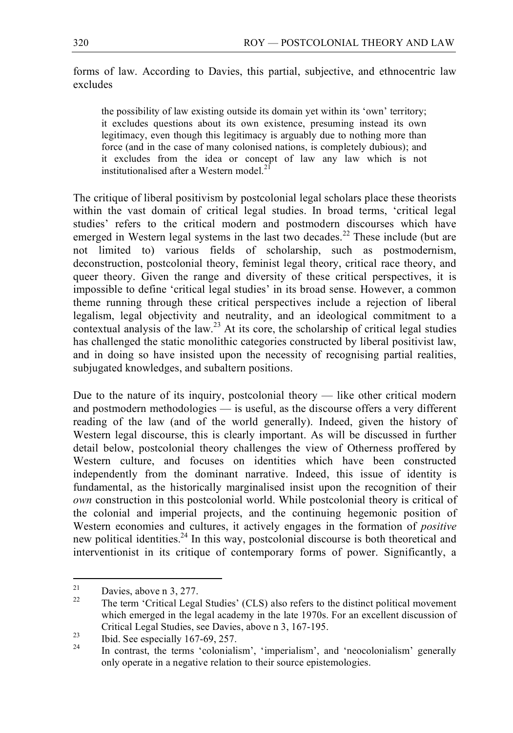forms of law. According to Davies, this partial, subjective, and ethnocentric law excludes

the possibility of law existing outside its domain yet within its 'own' territory; it excludes questions about its own existence, presuming instead its own legitimacy, even though this legitimacy is arguably due to nothing more than force (and in the case of many colonised nations, is completely dubious); and it excludes from the idea or concept of law any law which is not institutionalised after a Western model.<sup>21</sup>

The critique of liberal positivism by postcolonial legal scholars place these theorists within the vast domain of critical legal studies. In broad terms, 'critical legal studies' refers to the critical modern and postmodern discourses which have emerged in Western legal systems in the last two decades.<sup>22</sup> These include (but are not limited to) various fields of scholarship, such as postmodernism, deconstruction, postcolonial theory, feminist legal theory, critical race theory, and queer theory. Given the range and diversity of these critical perspectives, it is impossible to define 'critical legal studies' in its broad sense. However, a common theme running through these critical perspectives include a rejection of liberal legalism, legal objectivity and neutrality, and an ideological commitment to a contextual analysis of the law.<sup>23</sup> At its core, the scholarship of critical legal studies has challenged the static monolithic categories constructed by liberal positivist law, and in doing so have insisted upon the necessity of recognising partial realities, subjugated knowledges, and subaltern positions.

Due to the nature of its inquiry, postcolonial theory — like other critical modern and postmodern methodologies — is useful, as the discourse offers a very different reading of the law (and of the world generally). Indeed, given the history of Western legal discourse, this is clearly important. As will be discussed in further detail below, postcolonial theory challenges the view of Otherness proffered by Western culture, and focuses on identities which have been constructed independently from the dominant narrative. Indeed, this issue of identity is fundamental, as the historically marginalised insist upon the recognition of their *own* construction in this postcolonial world. While postcolonial theory is critical of the colonial and imperial projects, and the continuing hegemonic position of Western economies and cultures, it actively engages in the formation of *positive* new political identities.<sup>24</sup> In this way, postcolonial discourse is both theoretical and interventionist in its critique of contemporary forms of power. Significantly, a

<sup>&</sup>lt;sup>21</sup> Davies, above n 3, 277.<br><sup>22</sup> The term 'Critical Legal Studies' (CLS) also refers to the distinct political movement which emerged in the legal academy in the late 1970s. For an excellent discussion of Critical Legal Studies, see Davies, above n 3, 167-195.<br>
<sup>23</sup> Ibid. See especially 167-69, 257.<br>
<sup>24</sup> In contrast, the terms 'colonialism', 'imperialism', and 'neocolonialism' generally

only operate in a negative relation to their source epistemologies.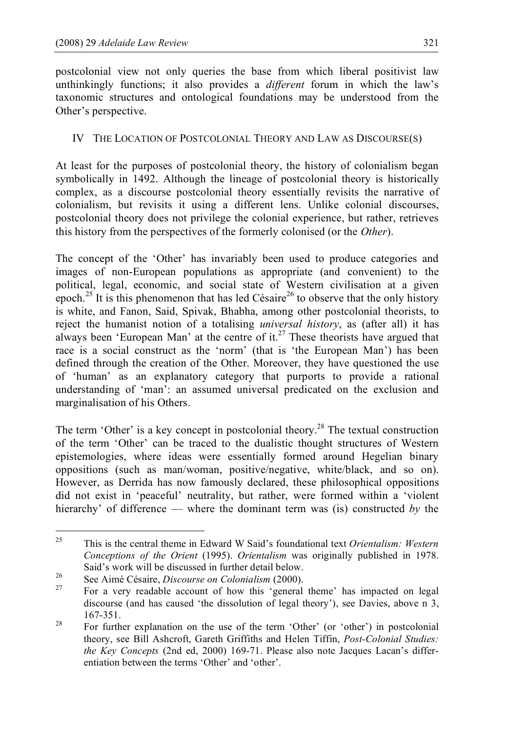postcolonial view not only queries the base from which liberal positivist law unthinkingly functions; it also provides a *different* forum in which the law's taxonomic structures and ontological foundations may be understood from the Other's perspective.

# IV THE LOCATION OF POSTCOLONIAL THEORY AND LAW AS DISCOURSE(S)

At least for the purposes of postcolonial theory, the history of colonialism began symbolically in 1492. Although the lineage of postcolonial theory is historically complex, as a discourse postcolonial theory essentially revisits the narrative of colonialism, but revisits it using a different lens. Unlike colonial discourses, postcolonial theory does not privilege the colonial experience, but rather, retrieves this history from the perspectives of the formerly colonised (or the *Other*).

The concept of the 'Other' has invariably been used to produce categories and images of non-European populations as appropriate (and convenient) to the political, legal, economic, and social state of Western civilisation at a given epoch.<sup>25</sup> It is this phenomenon that has led Césaire<sup>26</sup> to observe that the only history is white, and Fanon, Said, Spivak, Bhabha, among other postcolonial theorists, to reject the humanist notion of a totalising *universal history*, as (after all) it has always been 'European Man' at the centre of it.<sup>27</sup> These theorists have argued that race is a social construct as the 'norm' (that is 'the European Man') has been defined through the creation of the Other. Moreover, they have questioned the use of 'human' as an explanatory category that purports to provide a rational understanding of 'man': an assumed universal predicated on the exclusion and marginalisation of his Others.

The term 'Other' is a key concept in postcolonial theory.<sup>28</sup> The textual construction of the term 'Other' can be traced to the dualistic thought structures of Western epistemologies, where ideas were essentially formed around Hegelian binary oppositions (such as man/woman, positive/negative, white/black, and so on). However, as Derrida has now famously declared, these philosophical oppositions did not exist in 'peaceful' neutrality, but rather, were formed within a 'violent hierarchy' of difference — where the dominant term was (is) constructed *by* the

 <sup>25</sup> This is the central theme in Edward <sup>W</sup> Said's foundational text *Orientalism: Western Conceptions of the Orient* (1995). *Orientalism* was originally published in 1978.

Said's work will be discussed in further detail below.<br>
26 See Aimé Césaire, *Discourse on Colonialism* (2000).<br>
27 For a very readable account of how this 'general theme' has impacted on legal discourse (and has caused 'the dissolution of legal theory'), see Davies, above n 3, 167-351.<br><sup>28</sup> For further explanation on the use of the term 'Other' (or 'other') in postcolonial

theory, see Bill Ashcroft, Gareth Griffiths and Helen Tiffin, *Post-Colonial Studies: the Key Concepts* (2nd ed, 2000) 169-71. Please also note Jacques Lacan's differentiation between the terms 'Other' and 'other'.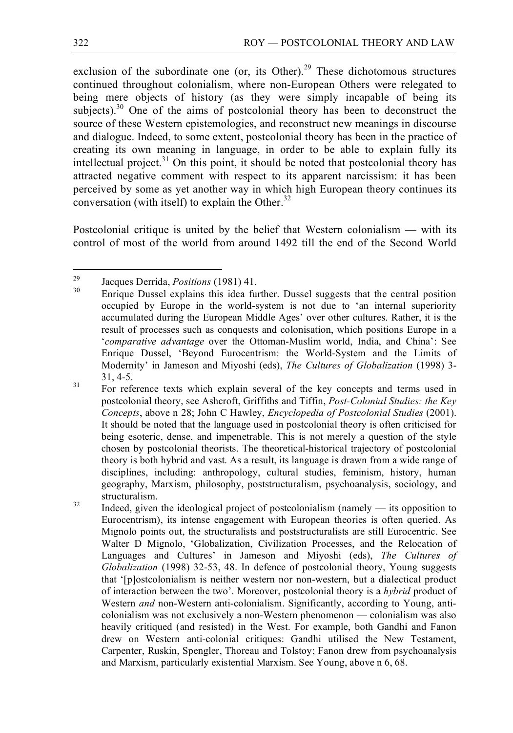exclusion of the subordinate one (or, its Other).<sup>29</sup> These dichotomous structures continued throughout colonialism, where non-European Others were relegated to being mere objects of history (as they were simply incapable of being its subjects). $30$  One of the aims of postcolonial theory has been to deconstruct the source of these Western epistemologies, and reconstruct new meanings in discourse and dialogue. Indeed, to some extent, postcolonial theory has been in the practice of creating its own meaning in language, in order to be able to explain fully its intellectual project.<sup>31</sup> On this point, it should be noted that postcolonial theory has attracted negative comment with respect to its apparent narcissism: it has been perceived by some as yet another way in which high European theory continues its conversation (with itself) to explain the Other.<sup>32</sup>

Postcolonial critique is united by the belief that Western colonialism — with its control of most of the world from around 1492 till the end of the Second World

<sup>&</sup>lt;sup>29</sup> Jacques Derrida, *Positions* (1981) 41.<br><sup>30</sup> Enrique Dussel explains this idea further. Dussel suggests that the central position occupied by Europe in the world-system is not due to 'an internal superiority accumulated during the European Middle Ages' over other cultures. Rather, it is the result of processes such as conquests and colonisation, which positions Europe in a '*comparative advantage* over the Ottoman-Muslim world, India, and China': See Enrique Dussel, 'Beyond Eurocentrism: the World-System and the Limits of Modernity' in Jameson and Miyoshi (eds), *The Cultures of Globalization* (1998) 3- 31, 4-5.<br>For reference texts which explain several of the key concepts and terms used in

postcolonial theory, see Ashcroft, Griffiths and Tiffin, *Post-Colonial Studies: the Key Concepts*, above n 28; John C Hawley, *Encyclopedia of Postcolonial Studies* (2001). It should be noted that the language used in postcolonial theory is often criticised for being esoteric, dense, and impenetrable. This is not merely a question of the style chosen by postcolonial theorists. The theoretical-historical trajectory of postcolonial theory is both hybrid and vast. As a result, its language is drawn from a wide range of disciplines, including: anthropology, cultural studies, feminism, history, human geography, Marxism, philosophy, poststructuralism, psychoanalysis, sociology, and structuralism.<br> $32$  Indeed, given the ideological project of postcolonialism (namely — its opposition to

Eurocentrism), its intense engagement with European theories is often queried. As Mignolo points out, the structuralists and poststructuralists are still Eurocentric. See Walter D Mignolo, 'Globalization, Civilization Processes, and the Relocation of Languages and Cultures' in Jameson and Miyoshi (eds), *The Cultures of Globalization* (1998) 32-53, 48. In defence of postcolonial theory, Young suggests that '[p]ostcolonialism is neither western nor non-western, but a dialectical product of interaction between the two'. Moreover, postcolonial theory is a *hybrid* product of Western *and* non-Western anti-colonialism. Significantly, according to Young, anticolonialism was not exclusively a non-Western phenomenon — colonialism was also heavily critiqued (and resisted) in the West. For example, both Gandhi and Fanon drew on Western anti-colonial critiques: Gandhi utilised the New Testament, Carpenter, Ruskin, Spengler, Thoreau and Tolstoy; Fanon drew from psychoanalysis and Marxism, particularly existential Marxism. See Young, above n 6, 68.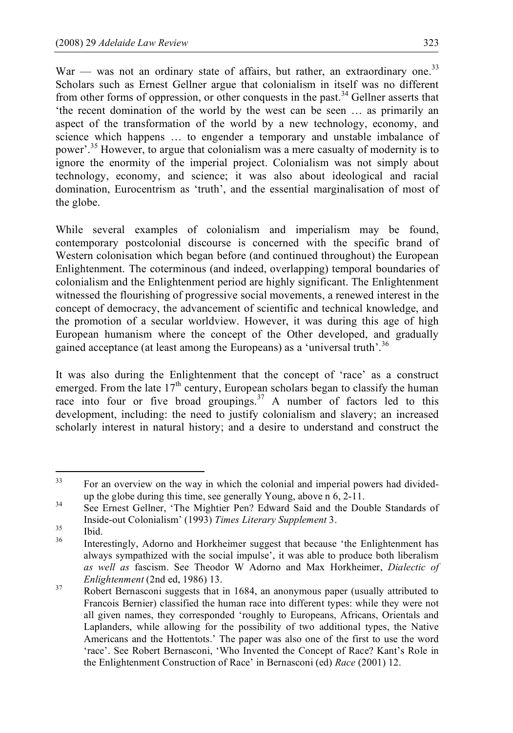War — was not an ordinary state of affairs, but rather, an extraordinary one.<sup>33</sup> Scholars such as Ernest Gellner argue that colonialism in itself was no different from other forms of oppression, or other conquests in the past.<sup>34</sup> Gellner asserts that 'the recent domination of the world by the west can be seen … as primarily an aspect of the transformation of the world by a new technology, economy, and science which happens … to engender a temporary and unstable imbalance of power'.<sup>35</sup> However, to argue that colonialism was a mere casualty of modernity is to ignore the enormity of the imperial project. Colonialism was not simply about technology, economy, and science; it was also about ideological and racial domination, Eurocentrism as 'truth', and the essential marginalisation of most of the globe.

While several examples of colonialism and imperialism may be found, contemporary postcolonial discourse is concerned with the specific brand of Western colonisation which began before (and continued throughout) the European Enlightenment. The coterminous (and indeed, overlapping) temporal boundaries of colonialism and the Enlightenment period are highly significant. The Enlightenment witnessed the flourishing of progressive social movements, a renewed interest in the concept of democracy, the advancement of scientific and technical knowledge, and the promotion of a secular worldview. However, it was during this age of high European humanism where the concept of the Other developed, and gradually gained acceptance (at least among the Europeans) as a 'universal truth'.<sup>36</sup>

It was also during the Enlightenment that the concept of 'race' as a construct emerged. From the late  $17<sup>th</sup>$  century, European scholars began to classify the human race into four or five broad groupings.<sup>37</sup> A number of factors led to this development, including: the need to justify colonialism and slavery; an increased scholarly interest in natural history; and a desire to understand and construct the

<sup>&</sup>lt;sup>33</sup> For an overview on the way in which the colonial and imperial powers had divided-

up the globe during this time, see generally Young, above n 6, 2-11.<br>See Ernest Gellner, 'The Mightier Pen? Edward Said and the Double Standards of Inside-out Colonialism' (1993) *Times Literary Supplement* 3.<br>
<sup>35</sup> Ibid. Interestingly, Adorno and Horkheimer suggest that because 'the Enlightenment has

always sympathized with the social impulse', it was able to produce both liberalism *as well as* fascism. See Theodor W Adorno and Max Horkheimer, *Dialectic of Enlightenment* (2nd ed, 1986) 13.<br>
Robert Bernasconi suggests that in 1684, an anonymous paper (usually attributed to

Francois Bernier) classified the human race into different types: while they were not all given names, they corresponded 'roughly to Europeans, Africans, Orientals and Laplanders, while allowing for the possibility of two additional types, the Native Americans and the Hottentots.' The paper was also one of the first to use the word 'race'. See Robert Bernasconi, 'Who Invented the Concept of Race? Kant's Role in the Enlightenment Construction of Race' in Bernasconi (ed) *Race* (2001) 12.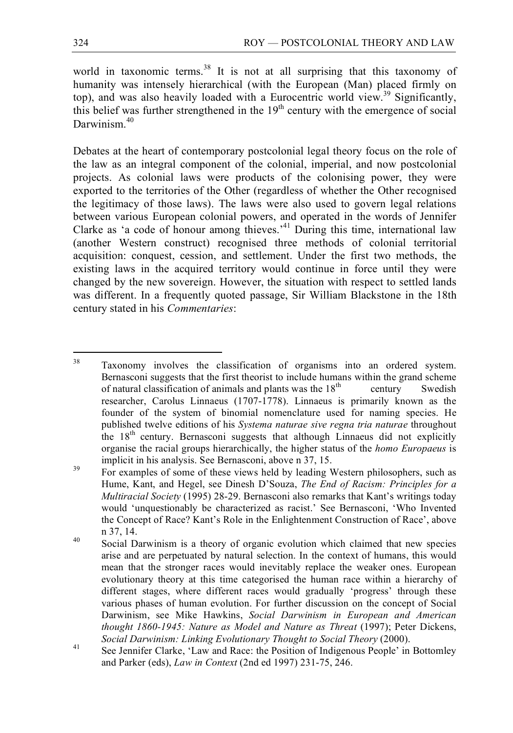world in taxonomic terms.<sup>38</sup> It is not at all surprising that this taxonomy of humanity was intensely hierarchical (with the European (Man) placed firmly on top), and was also heavily loaded with a Eurocentric world view.<sup>39</sup> Significantly, this belief was further strengthened in the  $19<sup>th</sup>$  century with the emergence of social Darwinism.<sup>40</sup>

Debates at the heart of contemporary postcolonial legal theory focus on the role of the law as an integral component of the colonial, imperial, and now postcolonial projects. As colonial laws were products of the colonising power, they were exported to the territories of the Other (regardless of whether the Other recognised the legitimacy of those laws). The laws were also used to govern legal relations between various European colonial powers, and operated in the words of Jennifer Clarke as 'a code of honour among thieves.' <sup>41</sup> During this time, international law (another Western construct) recognised three methods of colonial territorial acquisition: conquest, cession, and settlement. Under the first two methods, the existing laws in the acquired territory would continue in force until they were changed by the new sovereign. However, the situation with respect to settled lands was different. In a frequently quoted passage, Sir William Blackstone in the 18th century stated in his *Commentaries*:

<sup>&</sup>lt;sup>38</sup> Taxonomy involves the classification of organisms into an ordered system. Bernasconi suggests that the first theorist to include humans within the grand scheme of natural classification of animals and plants was the  $18<sup>th</sup>$  century Swedish researcher, Carolus Linnaeus (1707-1778). Linnaeus is primarily known as the founder of the system of binomial nomenclature used for naming species. He published twelve editions of his *Systema naturae sive regna tria naturae* throughout the  $18<sup>th</sup>$  century. Bernasconi suggests that although Linnaeus did not explicitly organise the racial groups hierarchically, the higher status of the *homo Europaeus* is implicit in his analysis. See Bernasconi, above n 37, 15.<br>For examples of some of these views held by leading Western philosophers, such as

Hume, Kant, and Hegel, see Dinesh D'Souza, *The End of Racism: Principles for a Multiracial Society* (1995) 28-29. Bernasconi also remarks that Kant's writings today would 'unquestionably be characterized as racist.' See Bernasconi, 'Who Invented the Concept of Race? Kant's Role in the Enlightenment Construction of Race', above n 37, 14.<br><sup>40</sup> Social Darwinism is a theory of organic evolution which claimed that new species

arise and are perpetuated by natural selection. In the context of humans, this would mean that the stronger races would inevitably replace the weaker ones. European evolutionary theory at this time categorised the human race within a hierarchy of different stages, where different races would gradually 'progress' through these various phases of human evolution. For further discussion on the concept of Social Darwinism, see Mike Hawkins, *Social Darwinism in European and American thought 1860-1945: Nature as Model and Nature as Threat* (1997); Peter Dickens,

*Social Darwinism: Linking Evolutionary Thought <i>to Social Theory* (2000).<br><sup>41</sup> See Jennifer Clarke, 'Law and Race: the Position of Indigenous People' in Bottomley and Parker (eds), *Law in Context* (2nd ed 1997) 231-75, 246.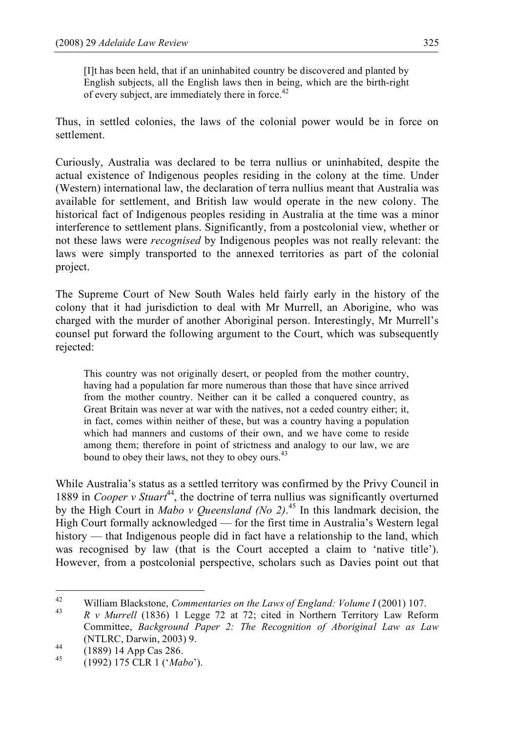[I]t has been held, that if an uninhabited country be discovered and planted by English subjects, all the English laws then in being, which are the birth-right of every subject, are immediately there in force.<sup>42</sup>

Thus, in settled colonies, the laws of the colonial power would be in force on settlement.

Curiously, Australia was declared to be terra nullius or uninhabited, despite the actual existence of Indigenous peoples residing in the colony at the time. Under (Western) international law, the declaration of terra nullius meant that Australia was available for settlement, and British law would operate in the new colony. The historical fact of Indigenous peoples residing in Australia at the time was a minor interference to settlement plans. Significantly, from a postcolonial view, whether or not these laws were *recognised* by Indigenous peoples was not really relevant: the laws were simply transported to the annexed territories as part of the colonial project.

The Supreme Court of New South Wales held fairly early in the history of the colony that it had jurisdiction to deal with Mr Murrell, an Aborigine, who was charged with the murder of another Aboriginal person. Interestingly, Mr Murrell's counsel put forward the following argument to the Court, which was subsequently rejected:

This country was not originally desert, or peopled from the mother country, having had a population far more numerous than those that have since arrived from the mother country. Neither can it be called a conquered country, as Great Britain was never at war with the natives, not a ceded country either; it, in fact, comes within neither of these, but was a country having a population which had manners and customs of their own, and we have come to reside among them; therefore in point of strictness and analogy to our law, we are bound to obey their laws, not they to obey ours.<sup>43</sup>

While Australia's status as a settled territory was confirmed by the Privy Council in 1889 in *Cooper v Stuart*<sup>44</sup>, the doctrine of terra nullius was significantly overturned by the High Court in *Mabo v Queensland (No 2)*. <sup>45</sup> In this landmark decision, the High Court formally acknowledged — for the first time in Australia's Western legal history — that Indigenous people did in fact have a relationship to the land, which was recognised by law (that is the Court accepted a claim to 'native title'). However, from a postcolonial perspective, scholars such as Davies point out that

<sup>&</sup>lt;sup>42</sup> William Blackstone, *Commentaries on the Laws of England: Volume I* (2001) 107.<br><sup>43</sup> R v Murrell (1836) 1 Legge 72 at 72; cited in Northern Territory Law Reform Committee, *Background Paper 2: The Recognition of Aboriginal Law as Law* (NTLRC, Darwin, 2003) 9. <sup>44</sup> (1889) <sup>14</sup> App Cas 286. <sup>45</sup> (1992) <sup>175</sup> CLR <sup>1</sup> ('*Mabo*').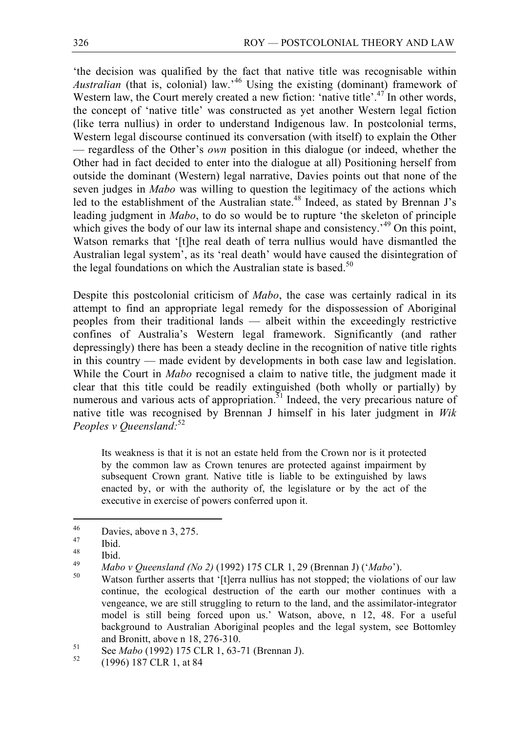'the decision was qualified by the fact that native title was recognisable within *Australian* (that is, colonial) law.' <sup>46</sup> Using the existing (dominant) framework of Western law, the Court merely created a new fiction: 'native title'.<sup>47</sup> In other words, the concept of 'native title' was constructed as yet another Western legal fiction (like terra nullius) in order to understand Indigenous law. In postcolonial terms, Western legal discourse continued its conversation (with itself) to explain the Other — regardless of the Other's *own* position in this dialogue (or indeed, whether the Other had in fact decided to enter into the dialogue at all) Positioning herself from outside the dominant (Western) legal narrative, Davies points out that none of the seven judges in *Mabo* was willing to question the legitimacy of the actions which led to the establishment of the Australian state.<sup>48</sup> Indeed, as stated by Brennan J's leading judgment in *Mabo*, to do so would be to rupture 'the skeleton of principle which gives the body of our law its internal shape and consistency.<sup>49</sup> On this point, Watson remarks that '[t]he real death of terra nullius would have dismantled the Australian legal system', as its 'real death' would have caused the disintegration of the legal foundations on which the Australian state is based.<sup>50</sup>

Despite this postcolonial criticism of *Mabo*, the case was certainly radical in its attempt to find an appropriate legal remedy for the dispossession of Aboriginal peoples from their traditional lands — albeit within the exceedingly restrictive confines of Australia's Western legal framework. Significantly (and rather depressingly) there has been a steady decline in the recognition of native title rights in this country — made evident by developments in both case law and legislation. While the Court in *Mabo* recognised a claim to native title, the judgment made it clear that this title could be readily extinguished (both wholly or partially) by numerous and various acts of appropriation. $51$  Indeed, the very precarious nature of native title was recognised by Brennan J himself in his later judgment in *Wik Peoples v Queensland:* 52

Its weakness is that it is not an estate held from the Crown nor is it protected by the common law as Crown tenures are protected against impairment by subsequent Crown grant. Native title is liable to be extinguished by laws enacted by, or with the authority of, the legislature or by the act of the executive in exercise of powers conferred upon it.

<sup>&</sup>lt;sup>46</sup> Davies, above n 3, 275.<br>
<sup>47</sup> Ibid.<br>
<sup>48</sup> Ibid.<br> *Abov Queensland (No 2)* (1992) 175 CLR 1, 29 (Brennan J) (*'Mabo'*).<br> *Mabov Queensland (No 2)* (1992) 175 CLR 1, 29 (Brennan J) (*'Mabo'*).<br>
<sup>50</sup> Watson further asse continue, the ecological destruction of the earth our mother continues with a vengeance, we are still struggling to return to the land, and the assimilator-integrator model is still being forced upon us.' Watson, above, n 12, 48. For a useful background to Australian Aboriginal peoples and the legal system, see Bottomley

and Bronitt, above n 18, 276-310.<br>
See *Mabo* (1992) 175 CLR 1, 63-71 (Brennan J).<br>
<sup>52</sup> (1996) 187 CLR 1, at 84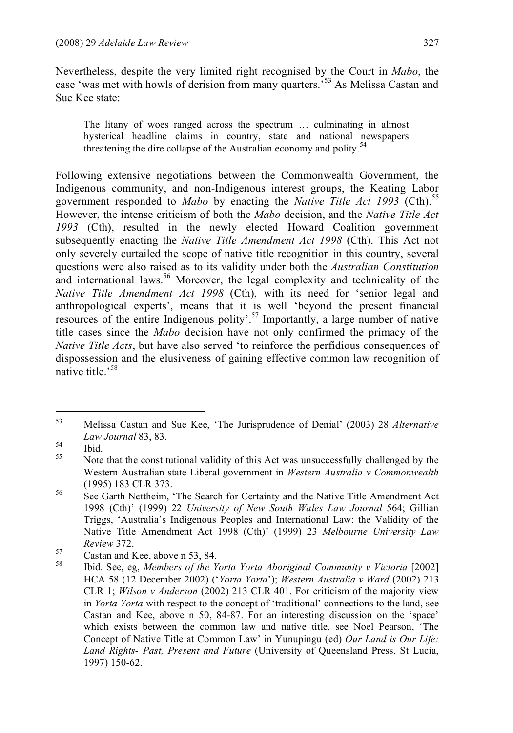Nevertheless, despite the very limited right recognised by the Court in *Mabo*, the case 'was met with howls of derision from many quarters.<sup>553</sup> As Melissa Castan and Sue Kee state:

The litany of woes ranged across the spectrum … culminating in almost hysterical headline claims in country, state and national newspapers threatening the dire collapse of the Australian economy and polity.<sup>54</sup>

Following extensive negotiations between the Commonwealth Government, the Indigenous community, and non-Indigenous interest groups, the Keating Labor government responded to *Mabo* by enacting the *Native Title Act 1993* (Cth).<sup>55</sup> However, the intense criticism of both the *Mabo* decision, and the *Native Title Act 1993* (Cth), resulted in the newly elected Howard Coalition government subsequently enacting the *Native Title Amendment Act 1998* (Cth). This Act not only severely curtailed the scope of native title recognition in this country, several questions were also raised as to its validity under both the *Australian Constitution* and international laws.<sup>56</sup> Moreover, the legal complexity and technicality of the *Native Title Amendment Act 1998* (Cth), with its need for 'senior legal and anthropological experts', means that it is well 'beyond the present financial resources of the entire Indigenous polity'.<sup>57</sup> Importantly, a large number of native title cases since the *Mabo* decision have not only confirmed the primacy of the *Native Title Acts*, but have also served 'to reinforce the perfidious consequences of dispossession and the elusiveness of gaining effective common law recognition of native title.<sup>58</sup>

 <sup>53</sup> Melissa Castan and Sue Kee, 'The Jurisprudence of Denial' (2003) <sup>28</sup> *Alternative*

*Law Journal* 83, 83.<br> **14** Ibid. Note that the constitutional validity of this Act was unsuccessfully challenged by the Western Australian state Liberal government in *Western Australia v Commonwealth*

<sup>(1995) 183</sup> CLR 373.<br>
See Garth Nettheim, 'The Search for Certainty and the Native Title Amendment Act 1998 (Cth)' (1999) 22 *University of New South Wales Law Journal* 564; Gillian Triggs, 'Australia's Indigenous Peoples and International Law: the Validity of the Native Title Amendment Act 1998 (Cth)' (1999) 23 *Melbourne University Law*

*Review* 372.<br>
57 Castan and Kee, above n 53, 84.<br>
58 Ibid. See, eg, *Members of the Yorta Yorta Aboriginal Community v Victoria* [2002] HCA 58 (12 December 2002) ('*Yorta Yorta*'); *Western Australia v Ward* (2002) 213 CLR 1; *Wilson v Anderson* (2002) 213 CLR 401. For criticism of the majority view in *Yorta Yorta* with respect to the concept of 'traditional' connections to the land, see Castan and Kee, above n 50, 84-87. For an interesting discussion on the 'space' which exists between the common law and native title, see Noel Pearson, 'The Concept of Native Title at Common Law' in Yunupingu (ed) *Our Land is Our Life: Land Rights- Past, Present and Future* (University of Queensland Press, St Lucia, 1997) 150-62.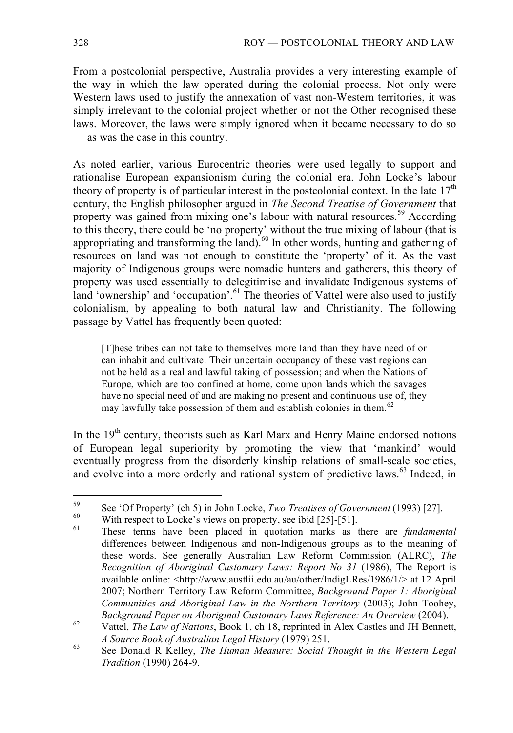From a postcolonial perspective, Australia provides a very interesting example of the way in which the law operated during the colonial process. Not only were Western laws used to justify the annexation of vast non-Western territories, it was simply irrelevant to the colonial project whether or not the Other recognised these laws. Moreover, the laws were simply ignored when it became necessary to do so — as was the case in this country.

As noted earlier, various Eurocentric theories were used legally to support and rationalise European expansionism during the colonial era. John Locke's labour theory of property is of particular interest in the postcolonial context. In the late  $17<sup>th</sup>$ century, the English philosopher argued in *The Second Treatise of Government* that property was gained from mixing one's labour with natural resources.<sup>59</sup> According to this theory, there could be 'no property' without the true mixing of labour (that is appropriating and transforming the land). $60$  In other words, hunting and gathering of resources on land was not enough to constitute the 'property' of it. As the vast majority of Indigenous groups were nomadic hunters and gatherers, this theory of property was used essentially to delegitimise and invalidate Indigenous systems of land 'ownership' and 'occupation'.<sup>61</sup> The theories of Vattel were also used to justify colonialism, by appealing to both natural law and Christianity. The following passage by Vattel has frequently been quoted:

[T]hese tribes can not take to themselves more land than they have need of or can inhabit and cultivate. Their uncertain occupancy of these vast regions can not be held as a real and lawful taking of possession; and when the Nations of Europe, which are too confined at home, come upon lands which the savages have no special need of and are making no present and continuous use of, they may lawfully take possession of them and establish colonies in them.<sup>62</sup>

In the 19<sup>th</sup> century, theorists such as Karl Marx and Henry Maine endorsed notions of European legal superiority by promoting the view that 'mankind' would eventually progress from the disorderly kinship relations of small-scale societies, and evolve into a more orderly and rational system of predictive laws. <sup>63</sup> Indeed, in

<sup>&</sup>lt;sup>59</sup> See 'Of Property' (ch 5) in John Locke, *Two Treatises of Government* (1993) [27].<br>
With respect to Locke's views on property, see ibid [25]-[51].<br>
These terms have been placed in quotation marks as there are *fundam* 

differences between Indigenous and non-Indigenous groups as to the meaning of these words. See generally Australian Law Reform Commission (ALRC), *The Recognition of Aboriginal Customary Laws: Report No 31* (1986), The Report is available online: <http://www.austlii.edu.au/au/other/IndigLRes/1986/1/> at 12 April 2007; Northern Territory Law Reform Committee, *Background Paper 1: Aboriginal Communities and Aboriginal Law in the Northern Territory* (2003); John Toohey,

Background Paper on Aboriginal Customary Laws Reference: An Overview (2004).<br><sup>62</sup> Vattel, *The Law of Nations*, Book 1, ch 18, reprinted in Alex Castles and JH Bennett, A Source Book of Australian Legal History (1979) 251.<br><sup>63</sup> See Donald R Kelley, *The Human Measure: Social Thought in the Western Legal* 

*Tradition* (1990) 264-9.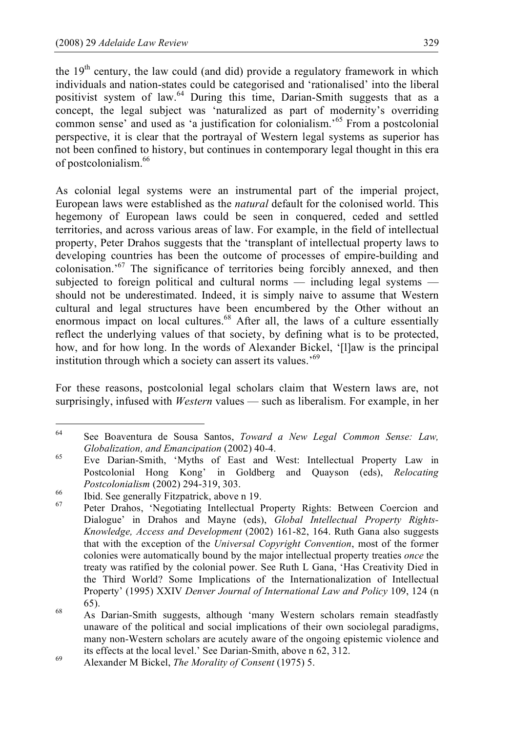the  $19<sup>th</sup>$  century, the law could (and did) provide a regulatory framework in which individuals and nation-states could be categorised and 'rationalised' into the liberal positivist system of law.<sup>64</sup> During this time, Darian-Smith suggests that as a concept, the legal subject was 'naturalized as part of modernity's overriding common sense' and used as 'a justification for colonialism.' <sup>65</sup> From a postcolonial perspective, it is clear that the portrayal of Western legal systems as superior has not been confined to history, but continues in contemporary legal thought in this era of postcolonialism.66

As colonial legal systems were an instrumental part of the imperial project, European laws were established as the *natural* default for the colonised world. This hegemony of European laws could be seen in conquered, ceded and settled territories, and across various areas of law. For example, in the field of intellectual property, Peter Drahos suggests that the 'transplant of intellectual property laws to developing countries has been the outcome of processes of empire-building and colonisation.' <sup>67</sup> The significance of territories being forcibly annexed, and then subjected to foreign political and cultural norms — including legal systems should not be underestimated. Indeed, it is simply naive to assume that Western cultural and legal structures have been encumbered by the Other without an enormous impact on local cultures.<sup>68</sup> After all, the laws of a culture essentially reflect the underlying values of that society, by defining what is to be protected, how, and for how long. In the words of Alexander Bickel, '[l]aw is the principal institution through which a society can assert its values.'<sup>69</sup>

For these reasons, postcolonial legal scholars claim that Western laws are, not surprisingly, infused with *Western* values — such as liberalism. For example, in her

 <sup>64</sup> See Boaventura de Sousa Santos, *Toward <sup>a</sup> New Legal Common Sense: Law,*

*Globalization, and <i>Emancipation* (2002) 40-4.<br><sup>65</sup> Eve Darian-Smith, 'Myths of East and West: Intellectual Property Law in Postcolonial Hong Kong' in Goldberg and Quayson (eds), *Relocating*

*Postcolonialism* (2002) 294-319, 303.<br>
<sup>66</sup> Ibid. See generally Fitzpatrick, above n 19.<br>
Peter Drahos, 'Negotiating Intellectual Property Rights: Between Coercion and Dialogue' in Drahos and Mayne (eds), *Global Intellectual Property Rights-Knowledge, Access and Development* (2002) 161-82, 164. Ruth Gana also suggests that with the exception of the *Universal Copyright Convention*, most of the former colonies were automatically bound by the major intellectual property treaties *once* the treaty was ratified by the colonial power. See Ruth L Gana, 'Has Creativity Died in the Third World? Some Implications of the Internationalization of Intellectual Property' (1995) XXIV *Denver Journal of International Law and Policy* 109, 124 (n

<sup>65).</sup> <sup>68</sup> As Darian-Smith suggests, although 'many Western scholars remain steadfastly unaware of the political and social implications of their own sociolegal paradigms, many non-Western scholars are acutely aware of the ongoing epistemic violence and its effects at the local level.' See Darian-Smith, above n 62, 312.<br>Alexander M Bickel, *The Morality of Consent* (1975) 5.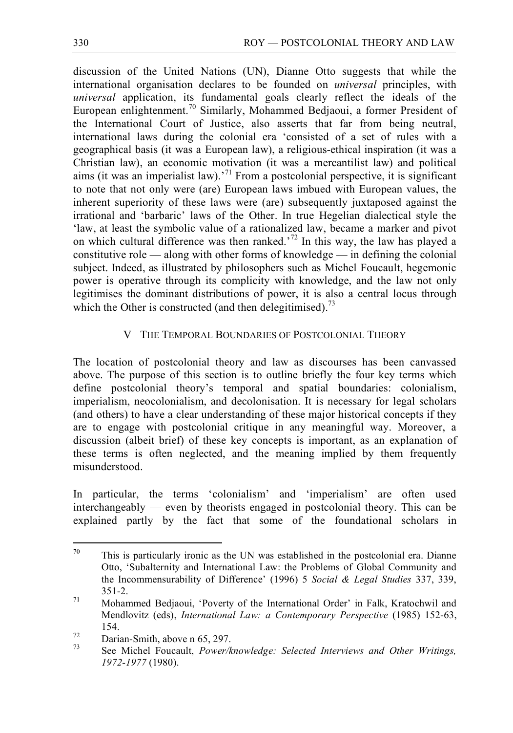discussion of the United Nations (UN), Dianne Otto suggests that while the international organisation declares to be founded on *universal* principles, with *universal* application, its fundamental goals clearly reflect the ideals of the European enlightenment.<sup>70</sup> Similarly, Mohammed Bedjaoui, a former President of the International Court of Justice, also asserts that far from being neutral, international laws during the colonial era 'consisted of a set of rules with a geographical basis (it was a European law), a religious-ethical inspiration (it was a Christian law), an economic motivation (it was a mercantilist law) and political aims (it was an imperialist law).<sup>71</sup> From a postcolonial perspective, it is significant to note that not only were (are) European laws imbued with European values, the inherent superiority of these laws were (are) subsequently juxtaposed against the irrational and 'barbaric' laws of the Other. In true Hegelian dialectical style the 'law, at least the symbolic value of a rationalized law, became a marker and pivot on which cultural difference was then ranked.<sup>72</sup> In this way, the law has played a constitutive role — along with other forms of knowledge — in defining the colonial subject. Indeed, as illustrated by philosophers such as Michel Foucault, hegemonic power is operative through its complicity with knowledge, and the law not only legitimises the dominant distributions of power, it is also a central locus through which the Other is constructed (and then delegitimised).<sup>73</sup>

# V THE TEMPORAL BOUNDARIES OF POSTCOLONIAL THEORY

The location of postcolonial theory and law as discourses has been canvassed above. The purpose of this section is to outline briefly the four key terms which define postcolonial theory's temporal and spatial boundaries: colonialism, imperialism, neocolonialism, and decolonisation. It is necessary for legal scholars (and others) to have a clear understanding of these major historical concepts if they are to engage with postcolonial critique in any meaningful way. Moreover, a discussion (albeit brief) of these key concepts is important, as an explanation of these terms is often neglected, and the meaning implied by them frequently misunderstood.

In particular, the terms 'colonialism' and 'imperialism' are often used interchangeably — even by theorists engaged in postcolonial theory. This can be explained partly by the fact that some of the foundational scholars in

 $70$  This is particularly ironic as the UN was established in the postcolonial era. Dianne Otto, 'Subalternity and International Law: the Problems of Global Community and the Incommensurability of Difference' (1996) 5 *Social & Legal Studies* 337, 339,  $351-2$ .<br>*71* Mohammed Bedjaoui, 'Poverty of the International Order' in Falk, Kratochwil and

Mendlovitz (eds), *International Law: a Contemporary Perspective* (1985) 152-63,

<sup>154.</sup> <sup>72</sup> Darian-Smith, above <sup>n</sup> 65, 297. <sup>73</sup> See Michel Foucault, *Power/knowledge: Selected Interviews and Other Writings, 1972-1977* (1980).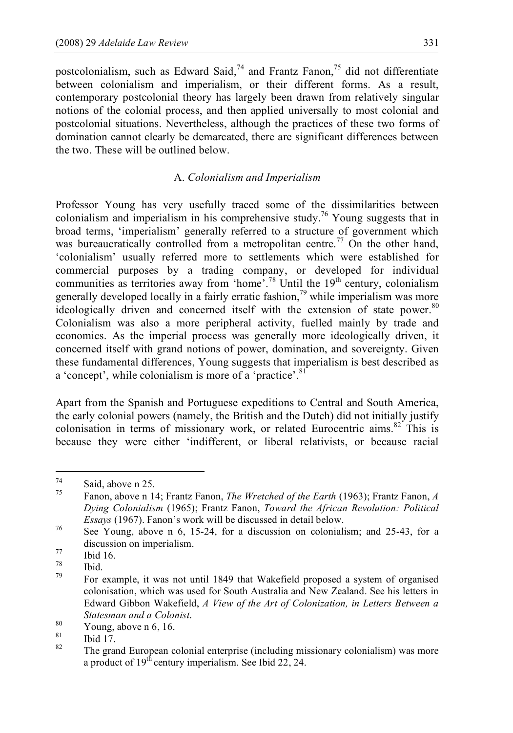postcolonialism, such as Edward Said,<sup>74</sup> and Frantz Fanon,<sup>75</sup> did not differentiate between colonialism and imperialism, or their different forms. As a result, contemporary postcolonial theory has largely been drawn from relatively singular notions of the colonial process, and then applied universally to most colonial and postcolonial situations. Nevertheless, although the practices of these two forms of domination cannot clearly be demarcated, there are significant differences between the two. These will be outlined below.

## A. *Colonialism and Imperialism*

Professor Young has very usefully traced some of the dissimilarities between colonialism and imperialism in his comprehensive study.<sup>76</sup> Young suggests that in broad terms, 'imperialism' generally referred to a structure of government which was bureaucratically controlled from a metropolitan centre.<sup>77</sup> On the other hand, 'colonialism' usually referred more to settlements which were established for commercial purposes by a trading company, or developed for individual communities as territories away from 'home'.<sup>78</sup> Until the  $19<sup>th</sup>$  century, colonialism generally developed locally in a fairly erratic fashion,<sup>79</sup> while imperialism was more ideologically driven and concerned itself with the extension of state power.<sup>80</sup> Colonialism was also a more peripheral activity, fuelled mainly by trade and economics. As the imperial process was generally more ideologically driven, it concerned itself with grand notions of power, domination, and sovereignty. Given these fundamental differences, Young suggests that imperialism is best described as a 'concept', while colonialism is more of a 'practice'.<sup>81</sup>

Apart from the Spanish and Portuguese expeditions to Central and South America, the early colonial powers (namely, the British and the Dutch) did not initially justify colonisation in terms of missionary work, or related Eurocentric aims. <sup>82</sup> This is because they were either 'indifferent, or liberal relativists, or because racial

<sup>74</sup> Said, above <sup>n</sup> 25. <sup>75</sup> Fanon, above <sup>n</sup> 14; Frantz Fanon, *The Wretched of the Earth* (1963); Frantz Fanon, *<sup>A</sup> Dying Colonialism* (1965); Frantz Fanon, *Toward the African Revolution: Political Essays* (1967). Fanon's work will be discussed in detail below.<br><sup>76</sup> See Young, above n 6, 15-24, for a discussion on colonialism; and 25-43, for a

discussion on imperialism.<br>
77 Ibid 16.<br>
78 Ibid.<br>
79 For example, it was not until 1849 that Wakefield proposed a system of organised

colonisation, which was used for South Australia and New Zealand. See his letters in Edward Gibbon Wakefield, *A View of the Art of Colonization, in Letters Between a Statesman and a Colonist.*<br><sup>80</sup> Young, above n 6, 16.<br><sup>81</sup> Ibid 17.<br><sup>82</sup> The grand European colonial enterprise (including missionary colonialism) was more

a product of 19<sup>th</sup> century imperialism. See Ibid 22, 24.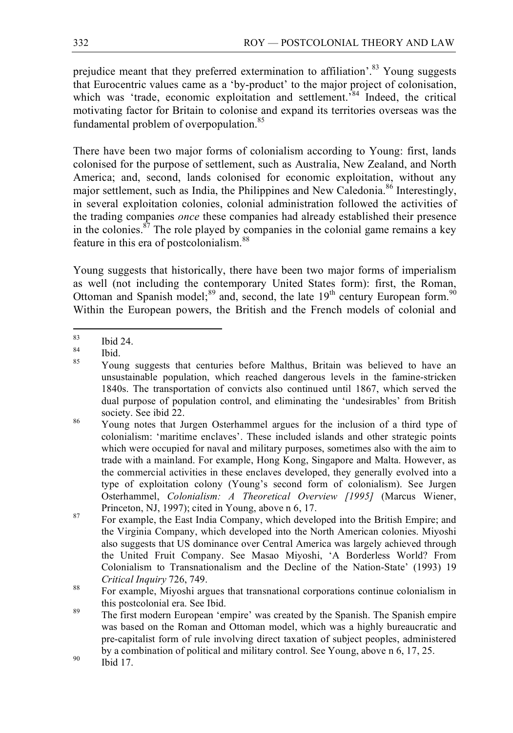prejudice meant that they preferred extermination to affiliation'.<sup>83</sup> Young suggests that Eurocentric values came as a 'by-product' to the major project of colonisation, which was 'trade, economic exploitation and settlement.<sup>584</sup> Indeed, the critical motivating factor for Britain to colonise and expand its territories overseas was the fundamental problem of overpopulation.<sup>85</sup>

There have been two major forms of colonialism according to Young: first, lands colonised for the purpose of settlement, such as Australia, New Zealand, and North America; and, second, lands colonised for economic exploitation, without any major settlement, such as India, the Philippines and New Caledonia.<sup>86</sup> Interestingly, in several exploitation colonies, colonial administration followed the activities of the trading companies *once* these companies had already established their presence in the colonies. $\frac{87}{7}$  The role played by companies in the colonial game remains a key feature in this era of postcolonialism.<sup>88</sup>

Young suggests that historically, there have been two major forms of imperialism as well (not including the contemporary United States form): first, the Roman, Ottoman and Spanish model;<sup>89</sup> and, second, the late  $19<sup>th</sup>$  century European form.<sup>90</sup> Within the European powers, the British and the French models of colonial and

 $\begin{array}{c} 83 \text{ }$  Ibid 24.<br>
85 Young suggests that centuries before Malthus, Britain was believed to have an unsustainable population, which reached dangerous levels in the famine-stricken 1840s. The transportation of convicts also continued until 1867, which served the dual purpose of population control, and eliminating the 'undesirables' from British society. See ibid 22.<br><sup>86</sup> Young notes that Jurgen Osterhammel argues for the inclusion of a third type of

colonialism: 'maritime enclaves'. These included islands and other strategic points which were occupied for naval and military purposes, sometimes also with the aim to trade with a mainland. For example, Hong Kong, Singapore and Malta. However, as the commercial activities in these enclaves developed, they generally evolved into a type of exploitation colony (Young's second form of colonialism). See Jurgen Osterhammel, *Colonialism: A Theoretical Overview [1995]* (Marcus Wiener, Princeton, NJ, 1997); cited in Young, above n 6, 17.<br>For example, the East India Company, which developed into the British Empire; and

the Virginia Company, which developed into the North American colonies. Miyoshi also suggests that US dominance over Central America was largely achieved through the United Fruit Company. See Masao Miyoshi, 'A Borderless World? From Colonialism to Transnationalism and the Decline of the Nation-State' (1993) 19 *Critical Inquiry* 726, 749.<br><sup>88</sup> For example, Miyoshi argues that transnational corporations continue colonialism in

this postcolonial era. See Ibid.<br><sup>89</sup> The first modern European 'empire' was created by the Spanish. The Spanish empire

was based on the Roman and Ottoman model, which was a highly bureaucratic and pre-capitalist form of rule involving direct taxation of subject peoples, administered by a combination of political and military control. See Young, above n 6, 17, 25. Ibid 17.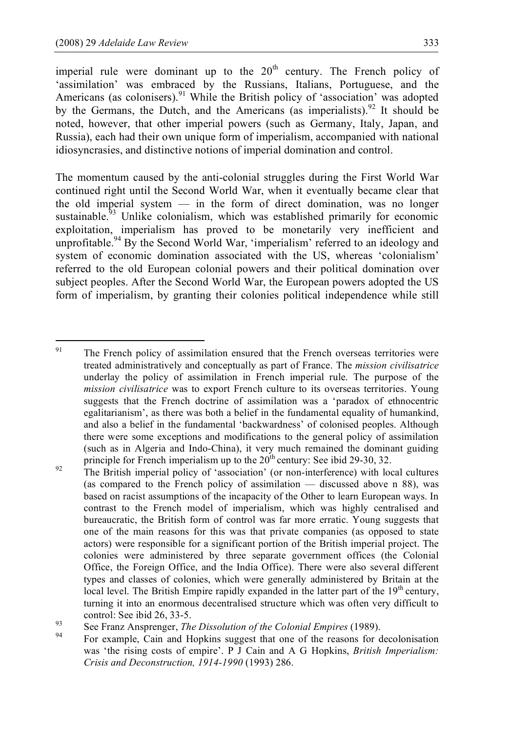imperial rule were dominant up to the  $20<sup>th</sup>$  century. The French policy of 'assimilation' was embraced by the Russians, Italians, Portuguese, and the Americans (as colonisers).<sup>91</sup> While the British policy of 'association' was adopted by the Germans, the Dutch, and the Americans (as imperialists).<sup>92</sup> It should be noted, however, that other imperial powers (such as Germany, Italy, Japan, and Russia), each had their own unique form of imperialism, accompanied with national idiosyncrasies, and distinctive notions of imperial domination and control.

The momentum caused by the anti-colonial struggles during the First World War continued right until the Second World War, when it eventually became clear that the old imperial system  $-$  in the form of direct domination, was no longer sustainable.<sup>93</sup> Unlike colonialism, which was established primarily for economic exploitation, imperialism has proved to be monetarily very inefficient and unprofitable.<sup>94</sup> By the Second World War, 'imperialism' referred to an ideology and system of economic domination associated with the US, whereas 'colonialism' referred to the old European colonial powers and their political domination over subject peoples. After the Second World War, the European powers adopted the US form of imperialism, by granting their colonies political independence while still

<sup>&</sup>lt;sup>91</sup> The French policy of assimilation ensured that the French overseas territories were treated administratively and conceptually as part of France. The *mission civilisatrice* underlay the policy of assimilation in French imperial rule. The purpose of the *mission civilisatrice* was to export French culture to its overseas territories. Young suggests that the French doctrine of assimilation was a 'paradox of ethnocentric egalitarianism', as there was both a belief in the fundamental equality of humankind, and also a belief in the fundamental 'backwardness' of colonised peoples. Although there were some exceptions and modifications to the general policy of assimilation (such as in Algeria and Indo-China), it very much remained the dominant guiding

principle for French imperialism up to the  $20<sup>th</sup>$  century: See ibid 29-30, 32.<br>The British imperial policy of 'association' (or non-interference) with local cultures (as compared to the French policy of assimilation — discussed above n 88), was based on racist assumptions of the incapacity of the Other to learn European ways. In contrast to the French model of imperialism, which was highly centralised and bureaucratic, the British form of control was far more erratic. Young suggests that one of the main reasons for this was that private companies (as opposed to state actors) were responsible for a significant portion of the British imperial project. The colonies were administered by three separate government offices (the Colonial Office, the Foreign Office, and the India Office). There were also several different types and classes of colonies, which were generally administered by Britain at the local level. The British Empire rapidly expanded in the latter part of the 19<sup>th</sup> century, turning it into an enormous decentralised structure which was often very difficult to

control: See ibid 26, 33-5.<br>See Franz Ansprenger, *The Dissolution of the Colonial Empires* (1989).<br>For example, Cain and Hopkins suggest that one of the reasons for decolonisation was 'the rising costs of empire'. P J Cain and A G Hopkins, *British Imperialism: Crisis and Deconstruction, 1914-1990* (1993) 286.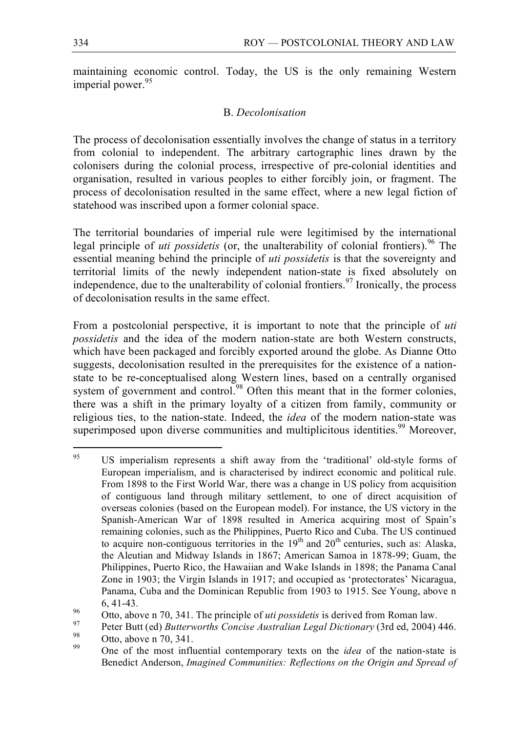maintaining economic control. Today, the US is the only remaining Western imperial power.<sup>95</sup>

## B. *Decolonisation*

The process of decolonisation essentially involves the change of status in a territory from colonial to independent. The arbitrary cartographic lines drawn by the colonisers during the colonial process, irrespective of pre-colonial identities and organisation, resulted in various peoples to either forcibly join, or fragment. The process of decolonisation resulted in the same effect, where a new legal fiction of statehood was inscribed upon a former colonial space.

The territorial boundaries of imperial rule were legitimised by the international legal principle of *uti possidetis* (or, the unalterability of colonial frontiers).<sup>96</sup> The essential meaning behind the principle of *uti possidetis* is that the sovereignty and territorial limits of the newly independent nation-state is fixed absolutely on independence, due to the unalterability of colonial frontiers.<sup>97</sup> Ironically, the process of decolonisation results in the same effect.

From a postcolonial perspective, it is important to note that the principle of *uti possidetis* and the idea of the modern nation-state are both Western constructs, which have been packaged and forcibly exported around the globe. As Dianne Otto suggests, decolonisation resulted in the prerequisites for the existence of a nationstate to be re-conceptualised along Western lines, based on a centrally organised system of government and control.<sup>98</sup> Often this meant that in the former colonies, there was a shift in the primary loyalty of a citizen from family, community or religious ties, to the nation-state. Indeed, the *idea* of the modern nation-state was superimposed upon diverse communities and multiplicitous identities.<sup>99</sup> Moreover,

<sup>&</sup>lt;sup>95</sup> US imperialism represents a shift away from the 'traditional' old-style forms of European imperialism, and is characterised by indirect economic and political rule. From 1898 to the First World War, there was a change in US policy from acquisition of contiguous land through military settlement, to one of direct acquisition of overseas colonies (based on the European model). For instance, the US victory in the Spanish-American War of 1898 resulted in America acquiring most of Spain's remaining colonies, such as the Philippines, Puerto Rico and Cuba. The US continued to acquire non-contiguous territories in the  $19<sup>th</sup>$  and  $20<sup>th</sup>$  centuries, such as: Alaska, the Aleutian and Midway Islands in 1867; American Samoa in 1878-99; Guam, the Philippines, Puerto Rico, the Hawaiian and Wake Islands in 1898; the Panama Canal Zone in 1903; the Virgin Islands in 1917; and occupied as 'protectorates' Nicaragua, Panama, Cuba and the Dominican Republic from 1903 to 1915. See Young, above n

<sup>&</sup>lt;sup>96</sup> 6, 41-43.<br>
Otto, above n 70, 341. The principle of *uti possidetis* is derived from Roman law.<br>
Peter Butt (ed) *Butterworths Concise Australian Legal Dictionary* (3rd ed, 2004) 446.<br>
Otto, above n 70, 341.<br>
One of t

Benedict Anderson, *Imagined Communities: Reflections on the Origin and Spread of*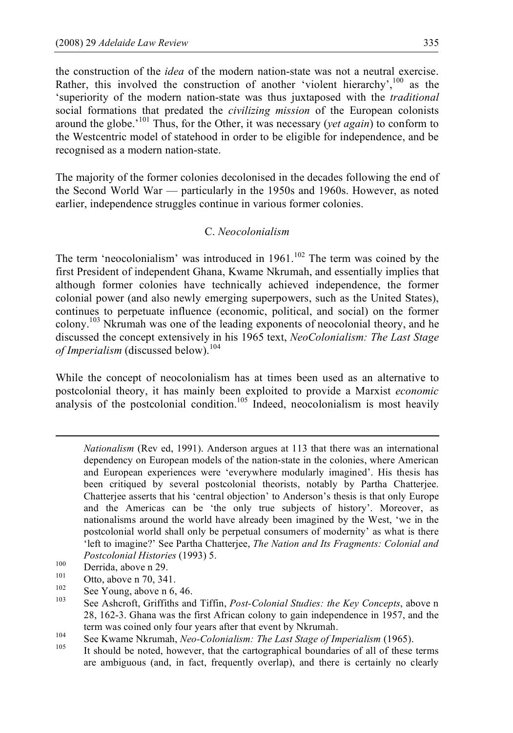the construction of the *idea* of the modern nation-state was not a neutral exercise. Rather, this involved the construction of another 'violent hierarchy',<sup>100</sup> as the 'superiority of the modern nation-state was thus juxtaposed with the *traditional* social formations that predated the *civilizing mission* of the European colonists around the globe.' <sup>101</sup> Thus, for the Other, it was necessary (*yet again*) to conform to the Westcentric model of statehood in order to be eligible for independence, and be recognised as a modern nation-state.

The majority of the former colonies decolonised in the decades following the end of the Second World War — particularly in the 1950s and 1960s. However, as noted earlier, independence struggles continue in various former colonies.

## C. *Neocolonialism*

The term 'neocolonialism' was introduced in  $1961$ .<sup>102</sup> The term was coined by the first President of independent Ghana, Kwame Nkrumah, and essentially implies that although former colonies have technically achieved independence, the former colonial power (and also newly emerging superpowers, such as the United States), continues to perpetuate influence (economic, political, and social) on the former colony.<sup>103</sup> Nkrumah was one of the leading exponents of neocolonial theory, and he discussed the concept extensively in his 1965 text, *NeoColonialism: The Last Stage of Imperialism* (discussed below).<sup>104</sup>

While the concept of neocolonialism has at times been used as an alternative to postcolonial theory, it has mainly been exploited to provide a Marxist *economic* analysis of the postcolonial condition.<sup>105</sup> Indeed, neocolonialism is most heavily

 $\overline{a}$ 

- 
- 
- Postcolonial Histories (1993) 5.<br>
100 Derrida, above n 29.<br>
101 Otto, above n 70, 341.<br>
<sup>102</sup> See Young, above n 6, 46.<br>
See Ashcroft, Griffiths and Tiffin, *Post-Colonial Studies: the Key Concepts*, above n 28, 162-3. Ghana was the first African colony to gain independence in 1957, and the
- term was coined only four years after that event by Nkrumah.<br>See Kwame Nkrumah, *Neo-Colonialism: The Last Stage of Imperialism* (1965).<br><sup>105</sup> It should be noted, however, that the cartographical boundaries of all of these
- are ambiguous (and, in fact, frequently overlap), and there is certainly no clearly

*Nationalism* (Rev ed, 1991). Anderson argues at 113 that there was an international dependency on European models of the nation-state in the colonies, where American and European experiences were 'everywhere modularly imagined'. His thesis has been critiqued by several postcolonial theorists, notably by Partha Chatterjee. Chatterjee asserts that his 'central objection' to Anderson's thesis is that only Europe and the Americas can be 'the only true subjects of history'. Moreover, as nationalisms around the world have already been imagined by the West, 'we in the postcolonial world shall only be perpetual consumers of modernity' as what is there 'left to imagine?' See Partha Chatterjee, *The Nation and Its Fragments: Colonial and*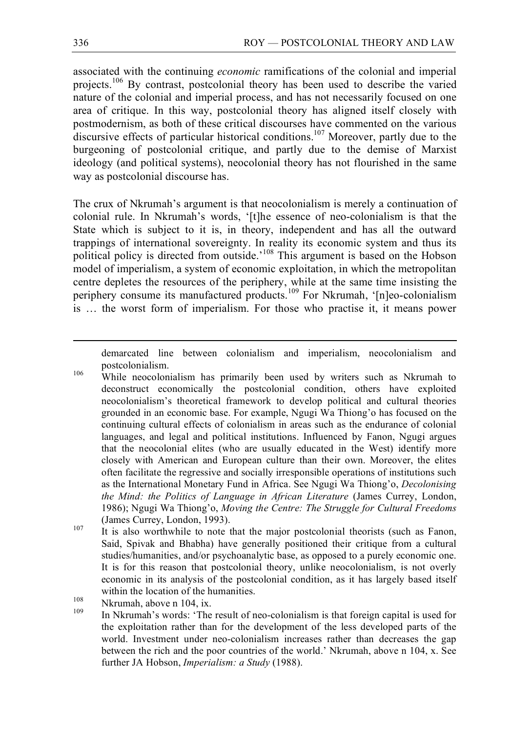associated with the continuing *economic* ramifications of the colonial and imperial projects.<sup>106</sup> By contrast, postcolonial theory has been used to describe the varied nature of the colonial and imperial process, and has not necessarily focused on one area of critique. In this way, postcolonial theory has aligned itself closely with postmodernism, as both of these critical discourses have commented on the various discursive effects of particular historical conditions.<sup>107</sup> Moreover, partly due to the burgeoning of postcolonial critique, and partly due to the demise of Marxist ideology (and political systems), neocolonial theory has not flourished in the same way as postcolonial discourse has.

The crux of Nkrumah's argument is that neocolonialism is merely a continuation of colonial rule. In Nkrumah's words, '[t]he essence of neo-colonialism is that the State which is subject to it is, in theory, independent and has all the outward trappings of international sovereignty. In reality its economic system and thus its political policy is directed from outside.<sup>'108</sup> This argument is based on the Hobson model of imperialism, a system of economic exploitation, in which the metropolitan centre depletes the resources of the periphery, while at the same time insisting the periphery consume its manufactured products.<sup>109</sup> For Nkrumah, '[n]eo-colonialism is … the worst form of imperialism. For those who practise it, it means power

demarcated line between colonialism and imperialism, neocolonialism and

postcolonialism. <sup>106</sup> While neocolonialism has primarily been used by writers such as Nkrumah to deconstruct economically the postcolonial condition, others have exploited neocolonialism's theoretical framework to develop political and cultural theories grounded in an economic base. For example, Ngugi Wa Thiong'o has focused on the continuing cultural effects of colonialism in areas such as the endurance of colonial languages, and legal and political institutions. Influenced by Fanon, Ngugi argues that the neocolonial elites (who are usually educated in the West) identify more closely with American and European culture than their own. Moreover, the elites often facilitate the regressive and socially irresponsible operations of institutions such as the International Monetary Fund in Africa. See Ngugi Wa Thiong'o, *Decolonising the Mind: the Politics of Language in African Literature* (James Currey, London, 1986); Ngugi Wa Thiong'o, *Moving the Centre: The Struggle for Cultural Freedoms* (James Currey, London, 1993).<br><sup>107</sup> It is also worthwhile to note that the major postcolonial theorists (such as Fanon,

Said, Spivak and Bhabha) have generally positioned their critique from a cultural studies/humanities, and/or psychoanalytic base, as opposed to a purely economic one. It is for this reason that postcolonial theory, unlike neocolonialism, is not overly economic in its analysis of the postcolonial condition, as it has largely based itself within the location of the humanities.<br><sup>108</sup> Nkrumah, above n 104, ix.<br><sup>109</sup> In Nkrumah's words: 'The result of neo-colonialism is that foreign capital is used for

the exploitation rather than for the development of the less developed parts of the world. Investment under neo-colonialism increases rather than decreases the gap between the rich and the poor countries of the world.' Nkrumah, above n 104, x. See further JA Hobson, *Imperialism: a Study* (1988).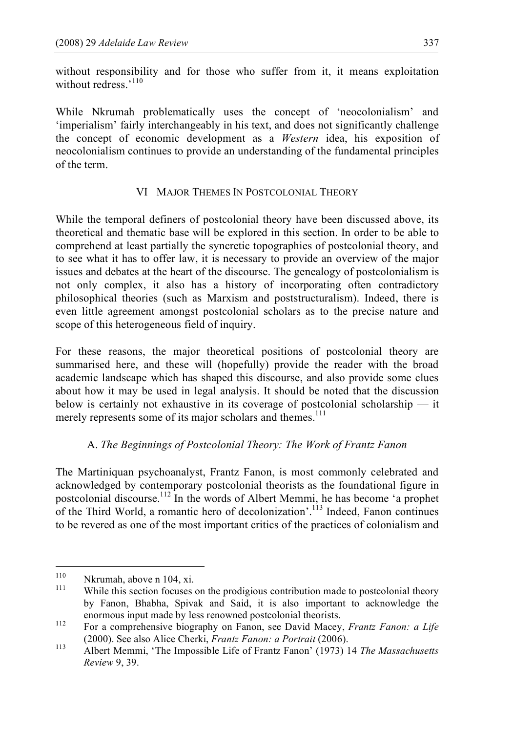without responsibility and for those who suffer from it, it means exploitation without redress.'<sup>110</sup>

While Nkrumah problematically uses the concept of 'neocolonialism' and 'imperialism' fairly interchangeably in his text, and does not significantly challenge the concept of economic development as a *Western* idea, his exposition of neocolonialism continues to provide an understanding of the fundamental principles of the term.

# VI MAJOR THEMES IN POSTCOLONIAL THEORY

While the temporal definers of postcolonial theory have been discussed above, its theoretical and thematic base will be explored in this section. In order to be able to comprehend at least partially the syncretic topographies of postcolonial theory, and to see what it has to offer law, it is necessary to provide an overview of the major issues and debates at the heart of the discourse. The genealogy of postcolonialism is not only complex, it also has a history of incorporating often contradictory philosophical theories (such as Marxism and poststructuralism). Indeed, there is even little agreement amongst postcolonial scholars as to the precise nature and scope of this heterogeneous field of inquiry.

For these reasons, the major theoretical positions of postcolonial theory are summarised here, and these will (hopefully) provide the reader with the broad academic landscape which has shaped this discourse, and also provide some clues about how it may be used in legal analysis. It should be noted that the discussion below is certainly not exhaustive in its coverage of postcolonial scholarship — it merely represents some of its major scholars and themes.<sup>111</sup>

# A. *The Beginnings of Postcolonial Theory: The Work of Frantz Fanon*

The Martiniquan psychoanalyst, Frantz Fanon, is most commonly celebrated and acknowledged by contemporary postcolonial theorists as the foundational figure in postcolonial discourse. <sup>112</sup> In the words of Albert Memmi, he has become 'a prophet of the Third World, a romantic hero of decolonization'.<sup>113</sup> Indeed, Fanon continues to be revered as one of the most important critics of the practices of colonialism and

<sup>&</sup>lt;sup>110</sup> Nkrumah, above n 104, xi.<br><sup>111</sup> While this section focuses on the prodigious contribution made to postcolonial theory by Fanon, Bhabha, Spivak and Said, it is also important to acknowledge the enormous input made by less renowned postcolonial theorists.<br><sup>112</sup> For a comprehensive biography on Fanon, see David Macey, *Frantz Fanon: a Life* 

<sup>(2000).</sup> See also Alice Cherki, *Frantz Fanon: <sup>a</sup> Portrait* (2006). <sup>113</sup> Albert Memmi, 'The Impossible Life of Frantz Fanon' (1973) <sup>14</sup> *The Massachusetts*

*Review* 9, 39.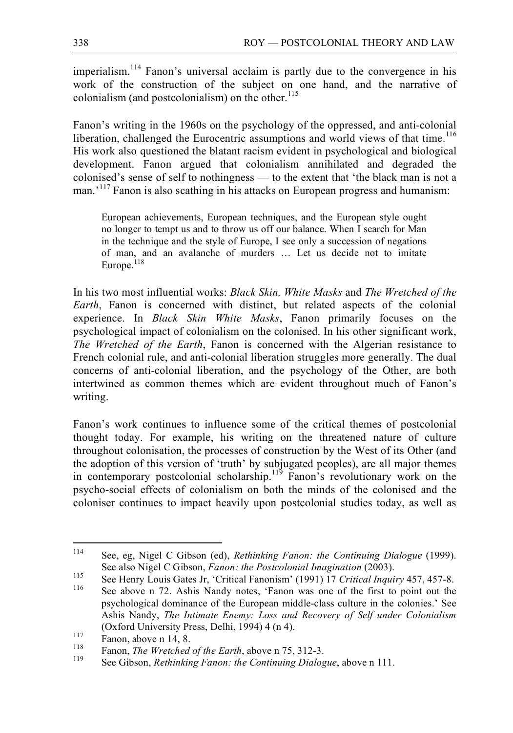imperialism.<sup>114</sup> Fanon's universal acclaim is partly due to the convergence in his work of the construction of the subject on one hand, and the narrative of colonialism (and postcolonialism) on the other. 115

Fanon's writing in the 1960s on the psychology of the oppressed, and anti-colonial liberation, challenged the Eurocentric assumptions and world views of that time.<sup>116</sup> His work also questioned the blatant racism evident in psychological and biological development. Fanon argued that colonialism annihilated and degraded the colonised's sense of self to nothingness — to the extent that 'the black man is not a man.<sup>'117</sup> Fanon is also scathing in his attacks on European progress and humanism:

European achievements, European techniques, and the European style ought no longer to tempt us and to throw us off our balance. When I search for Man in the technique and the style of Europe, I see only a succession of negations of man, and an avalanche of murders … Let us decide not to imitate Europe.<sup>118</sup>

In his two most influential works: *Black Skin, White Masks* and *The Wretched of the Earth*, Fanon is concerned with distinct, but related aspects of the colonial experience. In *Black Skin White Masks*, Fanon primarily focuses on the psychological impact of colonialism on the colonised. In his other significant work, *The Wretched of the Earth*, Fanon is concerned with the Algerian resistance to French colonial rule, and anti-colonial liberation struggles more generally. The dual concerns of anti-colonial liberation, and the psychology of the Other, are both intertwined as common themes which are evident throughout much of Fanon's writing.

Fanon's work continues to influence some of the critical themes of postcolonial thought today. For example, his writing on the threatened nature of culture throughout colonisation, the processes of construction by the West of its Other (and the adoption of this version of 'truth' by subjugated peoples), are all major themes in contemporary postcolonial scholarship.<sup>119</sup> Fanon's revolutionary work on the psycho-social effects of colonialism on both the minds of the colonised and the coloniser continues to impact heavily upon postcolonial studies today, as well as

 <sup>114</sup> See, eg, Nigel <sup>C</sup> Gibson (ed), *Rethinking Fanon: the Continuing Dialogue* (1999).

See also Nigel C Gibson, *Fanon: the Postcolonial Imagination* (2003).<br>See Henry Louis Gates Jr, 'Critical Fanonism' (1991) 17 *Critical Inquiry* 457, 457-8.<br>See above n 72. Ashis Nandy notes, 'Fanon was one of the first t

psychological dominance of the European middle-class culture in the colonies.' See Ashis Nandy, *The Intimate Enemy: Loss and Recovery of Self under Colonialism* (Oxford University Press, Delhi, 1994) 4 (n 4).<br>
Fanon, above n 14, 8.<br>
Fanon, *The Wretched of the Earth*, above n 75, 312-3.<br>
See Gibson. *Rethinking Fanon: the Continuing Dialogue*, above n 111.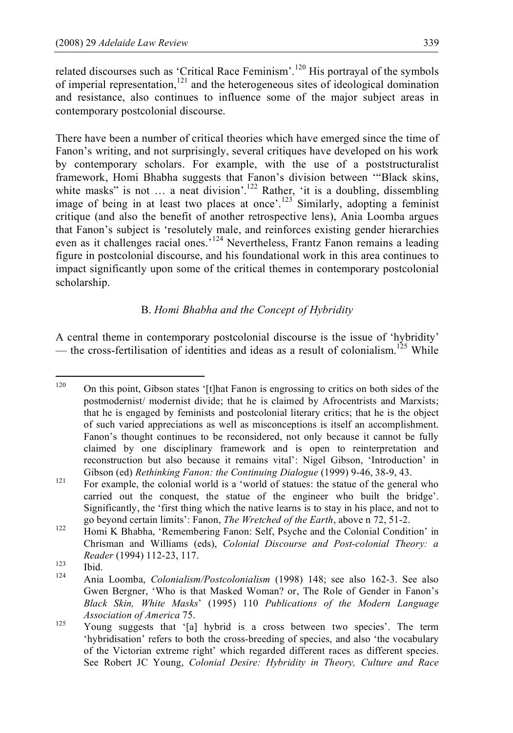related discourses such as 'Critical Race Feminism'.<sup>120</sup> His portrayal of the symbols of imperial representation,<sup>121</sup> and the heterogeneous sites of ideological domination and resistance, also continues to influence some of the major subject areas in contemporary postcolonial discourse.

There have been a number of critical theories which have emerged since the time of Fanon's writing, and not surprisingly, several critiques have developed on his work by contemporary scholars. For example, with the use of a poststructuralist framework, Homi Bhabha suggests that Fanon's division between '"Black skins, white masks" is not  $\ldots$  a neat division'.<sup>122</sup> Rather, 'it is a doubling, dissembling image of being in at least two places at once'.<sup>123</sup> Similarly, adopting a feminist critique (and also the benefit of another retrospective lens), Ania Loomba argues that Fanon's subject is 'resolutely male, and reinforces existing gender hierarchies even as it challenges racial ones.<sup>5124</sup> Nevertheless, Frantz Fanon remains a leading figure in postcolonial discourse, and his foundational work in this area continues to impact significantly upon some of the critical themes in contemporary postcolonial scholarship.

# B. *Homi Bhabha and the Concept of Hybridity*

A central theme in contemporary postcolonial discourse is the issue of 'hybridity' — the cross-fertilisation of identities and ideas as a result of colonialism.<sup>125</sup> While

<sup>&</sup>lt;sup>120</sup> On this point, Gibson states '[t]hat Fanon is engrossing to critics on both sides of the postmodernist/ modernist divide; that he is claimed by Afrocentrists and Marxists; that he is engaged by feminists and postcolonial literary critics; that he is the object of such varied appreciations as well as misconceptions is itself an accomplishment. Fanon's thought continues to be reconsidered, not only because it cannot be fully claimed by one disciplinary framework and is open to reinterpretation and reconstruction but also because it remains vital': Nigel Gibson, 'Introduction' in

Gibson (ed) *Rethinking Fanon: the Continuing Dialogue* (1999) 9-46, 38-9, 43.<br><sup>121</sup> For example, the colonial world is a 'world of statues: the statue of the general who carried out the conquest, the statue of the engineer who built the bridge'. Significantly, the 'first thing which the native learns is to stay in his place, and not to

go beyond certain limits': Fanon, *The Wretched of the Earth*, above n 72, 51-2.<br><sup>122</sup> Homi K Bhabha, 'Remembering Fanon: Self, Psyche and the Colonial Condition' in Chrisman and Williams (eds), *Colonial Discourse and Post-colonial Theory: a*

*Reader* (1994) 112-23, 117.<br>
123 Ibid. 124 Ania Loomba, *Colonialism/Postcolonialism* (1998) 148; see also 162-3. See also Gwen Bergner, 'Who is that Masked Woman? or, The Role of Gender in Fanon's *Black Skin, White Masks*' (1995) 110 *Publications of the Modern Language Association of America* 75.<br><sup>125</sup> Young suggests that '[a] hybrid is a cross between two species'. The term

<sup>&#</sup>x27;hybridisation' refers to both the cross-breeding of species, and also 'the vocabulary of the Victorian extreme right' which regarded different races as different species. See Robert JC Young, *Colonial Desire: Hybridity in Theory, Culture and Race*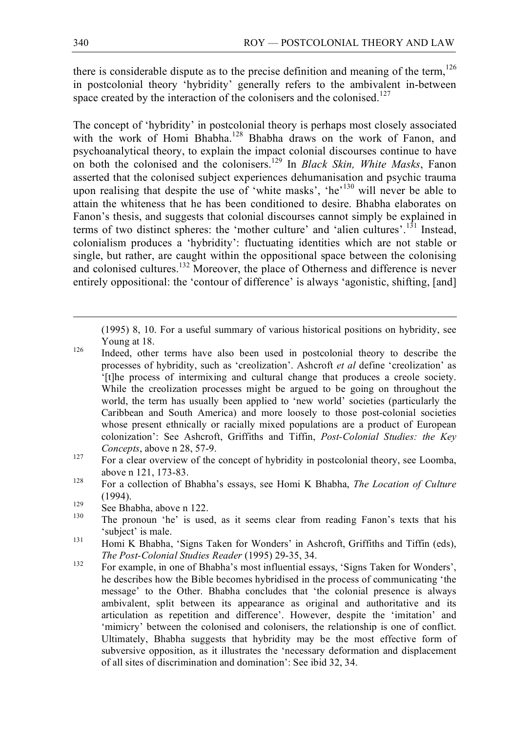there is considerable dispute as to the precise definition and meaning of the term,  $126$ in postcolonial theory 'hybridity' generally refers to the ambivalent in-between space created by the interaction of the colonisers and the colonised.<sup>127</sup>

The concept of 'hybridity' in postcolonial theory is perhaps most closely associated with the work of Homi Bhabha.<sup>128</sup> Bhabha draws on the work of Fanon, and psychoanalytical theory, to explain the impact colonial discourses continue to have on both the colonised and the colonisers. <sup>129</sup> In *Black Skin, White Masks*, Fanon asserted that the colonised subject experiences dehumanisation and psychic trauma upon realising that despite the use of 'white masks', 'he'<sup>130</sup> will never be able to attain the whiteness that he has been conditioned to desire. Bhabha elaborates on Fanon's thesis, and suggests that colonial discourses cannot simply be explained in terms of two distinct spheres: the 'mother culture' and 'alien cultures'.<sup>131</sup> Instead, colonialism produces a 'hybridity': fluctuating identities which are not stable or single, but rather, are caught within the oppositional space between the colonising and colonised cultures.<sup>132</sup> Moreover, the place of Otherness and difference is never entirely oppositional: the 'contour of difference' is always 'agonistic, shifting, [and]

(1995) 8, 10. For <sup>a</sup> useful summary of various historical positions on hybridity, see

- Young at 18.<br><sup>126</sup> Indeed, other terms have also been used in postcolonial theory to describe the processes of hybridity, such as 'creolization'. Ashcroft *et al* define 'creolization' as '[t]he process of intermixing and cultural change that produces a creole society. While the creolization processes might be argued to be going on throughout the world, the term has usually been applied to 'new world' societies (particularly the Caribbean and South America) and more loosely to those post-colonial societies whose present ethnically or racially mixed populations are a product of European colonization': See Ashcroft, Griffiths and Tiffin, *Post-Colonial Studies: the Key*
- *Concepts*, above n 28, 57-9.<br><sup>127</sup> For a clear overview of the concept of hybridity in postcolonial theory, see Loomba,
- above <sup>n</sup> 121, 173-83. <sup>128</sup> For <sup>a</sup> collection of Bhabha's essays, see Homi <sup>K</sup> Bhabha, *The Location of Culture* (1994).<br><sup>129</sup> See Bhabha, above n 122.<br><sup>130</sup> The pronoun 'he' is used, as it seems clear from reading Fanon's texts that his
- 
- 
- 'subject' is male.<br>
131 Homi K Bhabha, 'Signs Taken for Wonders' in Ashcroft, Griffiths and Tiffin (eds), *The Post-Colonial Studies Reader* (1995) 29-35, 34.<br><sup>132</sup> For example, in one of Bhabha's most influential essays, 'Signs Taken for Wonders',
- he describes how the Bible becomes hybridised in the process of communicating 'the message' to the Other. Bhabha concludes that 'the colonial presence is always ambivalent, split between its appearance as original and authoritative and its articulation as repetition and difference'. However, despite the 'imitation' and 'mimicry' between the colonised and colonisers, the relationship is one of conflict. Ultimately, Bhabha suggests that hybridity may be the most effective form of subversive opposition, as it illustrates the 'necessary deformation and displacement of all sites of discrimination and domination': See ibid 32, 34.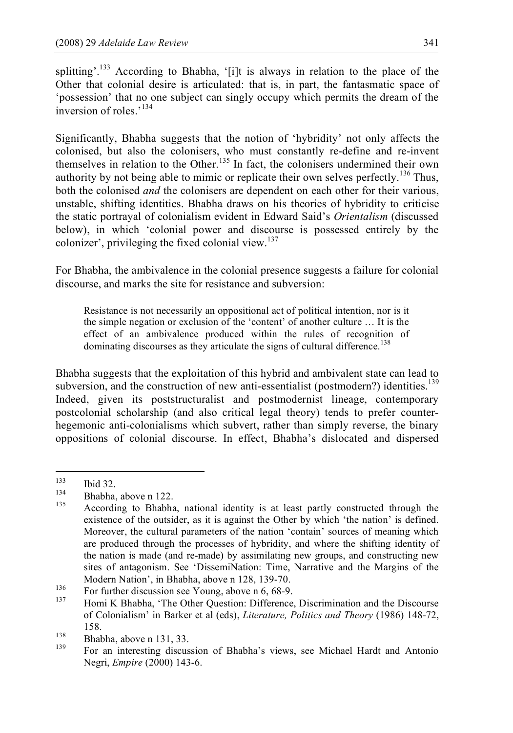splitting'.<sup>133</sup> According to Bhabha, '[i]t is always in relation to the place of the Other that colonial desire is articulated: that is, in part, the fantasmatic space of 'possession' that no one subject can singly occupy which permits the dream of the inversion of roles.'<sup>134</sup>

Significantly, Bhabha suggests that the notion of 'hybridity' not only affects the colonised, but also the colonisers, who must constantly re-define and re-invent themselves in relation to the Other.<sup>135</sup> In fact, the colonisers undermined their own authority by not being able to mimic or replicate their own selves perfectly.<sup>136</sup> Thus, both the colonised *and* the colonisers are dependent on each other for their various, unstable, shifting identities. Bhabha draws on his theories of hybridity to criticise the static portrayal of colonialism evident in Edward Said's *Orientalism* (discussed below), in which 'colonial power and discourse is possessed entirely by the colonizer', privileging the fixed colonial view. 137

For Bhabha, the ambivalence in the colonial presence suggests a failure for colonial discourse, and marks the site for resistance and subversion:

Resistance is not necessarily an oppositional act of political intention, nor is it the simple negation or exclusion of the 'content' of another culture … It is the effect of an ambivalence produced within the rules of recognition of dominating discourses as they articulate the signs of cultural difference.<sup>138</sup>

Bhabha suggests that the exploitation of this hybrid and ambivalent state can lead to subversion, and the construction of new anti-essentialist (postmodern?) identities.<sup>139</sup> Indeed, given its poststructuralist and postmodernist lineage, contemporary postcolonial scholarship (and also critical legal theory) tends to prefer counterhegemonic anti-colonialisms which subvert, rather than simply reverse, the binary oppositions of colonial discourse. In effect, Bhabha's dislocated and dispersed

<sup>133</sup> Ibid 32.<br>
134 Bhabha, above n 122.<br>
135 According to Bhabha, national identity is at least partly constructed through the existence of the outsider, as it is against the Other by which 'the nation' is defined. Moreover, the cultural parameters of the nation 'contain' sources of meaning which are produced through the processes of hybridity, and where the shifting identity of the nation is made (and re-made) by assimilating new groups, and constructing new sites of antagonism. See 'DissemiNation: Time, Narrative and the Margins of the

Modern Nation', in Bhabha, above n 128, 139-70.<br>
136 For further discussion see Young, above n 6, 68-9.<br>
137 Homi K Bhabha, 'The Other Question: Difference, Discrimination and the Discourse of Colonialism' in Barker et al (eds), *Literature, Politics and Theory* (1986) 148-72,

<sup>158.&</sup>lt;br>
138 Bhabha, above n 131, 33.<br>
139 For an interesting discussion of Bhabha's views, see Michael Hardt and Antonio Negri, *Empire* (2000) 143-6.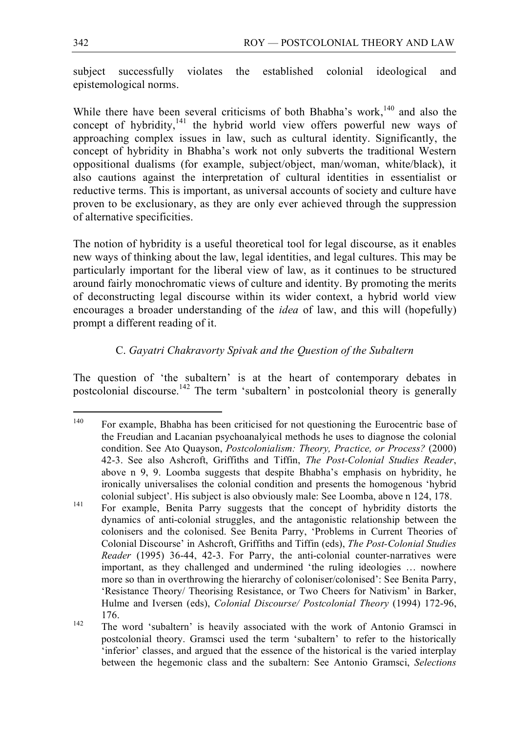subject successfully violates the established colonial ideological and epistemological norms.

While there have been several criticisms of both Bhabha's work,  $140$  and also the concept of hybridity, $141$  the hybrid world view offers powerful new ways of approaching complex issues in law, such as cultural identity. Significantly, the concept of hybridity in Bhabha's work not only subverts the traditional Western oppositional dualisms (for example, subject/object, man/woman, white/black), it also cautions against the interpretation of cultural identities in essentialist or reductive terms. This is important, as universal accounts of society and culture have proven to be exclusionary, as they are only ever achieved through the suppression of alternative specificities.

The notion of hybridity is a useful theoretical tool for legal discourse, as it enables new ways of thinking about the law, legal identities, and legal cultures. This may be particularly important for the liberal view of law, as it continues to be structured around fairly monochromatic views of culture and identity. By promoting the merits of deconstructing legal discourse within its wider context, a hybrid world view encourages a broader understanding of the *idea* of law, and this will (hopefully) prompt a different reading of it.

# C. *Gayatri Chakravorty Spivak and the Question of the Subaltern*

The question of 'the subaltern' is at the heart of contemporary debates in postcolonial discourse.<sup>142</sup> The term 'subaltern' in postcolonial theory is generally

<sup>&</sup>lt;sup>140</sup> For example, Bhabha has been criticised for not questioning the Eurocentric base of the Freudian and Lacanian psychoanalyical methods he uses to diagnose the colonial condition. See Ato Quayson, *Postcolonialism: Theory, Practice, or Process?* (2000) 42-3. See also Ashcroft, Griffiths and Tiffin, *The Post-Colonial Studies Reader*, above n 9, 9. Loomba suggests that despite Bhabha's emphasis on hybridity, he ironically universalises the colonial condition and presents the homogenous 'hybrid colonial subject'. His subject is also obviously male: See Loomba, above n 124, 178.<br>
For example, Benita Parry suggests that the concept of hybridity distorts the

dynamics of anti-colonial struggles, and the antagonistic relationship between the colonisers and the colonised. See Benita Parry, 'Problems in Current Theories of Colonial Discourse' in Ashcroft, Griffiths and Tiffin (eds), *The Post-Colonial Studies Reader* (1995) 36-44, 42-3. For Parry, the anti-colonial counter-narratives were important, as they challenged and undermined 'the ruling ideologies … nowhere more so than in overthrowing the hierarchy of coloniser/colonised': See Benita Parry, 'Resistance Theory/ Theorising Resistance, or Two Cheers for Nativism' in Barker, Hulme and Iversen (eds), *Colonial Discourse/ Postcolonial Theory* (1994) 172-96,

<sup>176.&</sup>lt;br><sup>142</sup> The word 'subaltern' is heavily associated with the work of Antonio Gramsci in postcolonial theory. Gramsci used the term 'subaltern' to refer to the historically 'inferior' classes, and argued that the essence of the historical is the varied interplay between the hegemonic class and the subaltern: See Antonio Gramsci, *Selections*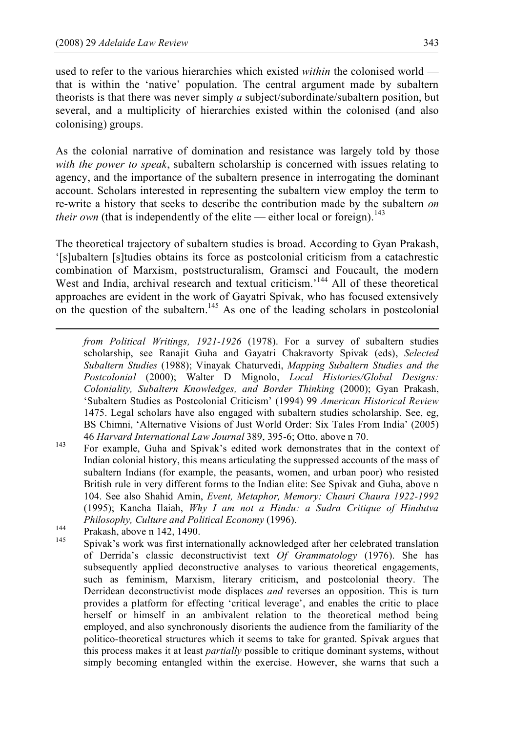used to refer to the various hierarchies which existed *within* the colonised world that is within the 'native' population. The central argument made by subaltern theorists is that there was never simply *a* subject/subordinate/subaltern position, but several, and a multiplicity of hierarchies existed within the colonised (and also colonising) groups.

As the colonial narrative of domination and resistance was largely told by those *with the power to speak*, subaltern scholarship is concerned with issues relating to agency, and the importance of the subaltern presence in interrogating the dominant account. Scholars interested in representing the subaltern view employ the term to re-write a history that seeks to describe the contribution made by the subaltern *on their own* (that is independently of the elite — either local or foreign).<sup>143</sup>

The theoretical trajectory of subaltern studies is broad. According to Gyan Prakash, '[s]ubaltern [s]tudies obtains its force as postcolonial criticism from a catachrestic combination of Marxism, poststructuralism, Gramsci and Foucault, the modern West and India, archival research and textual criticism.<sup>144</sup> All of these theoretical approaches are evident in the work of Gayatri Spivak, who has focused extensively on the question of the subaltern.<sup>145</sup> As one of the leading scholars in postcolonial

- <sup>143</sup> <sup>46</sup> *Harvard International Law Journal* 389, 395-6; Otto, above n 70.<br><sup>143</sup> For example, Guha and Spivak's edited work demonstrates that in the context of Indian colonial history, this means articulating the suppressed accounts of the mass of subaltern Indians (for example, the peasants, women, and urban poor) who resisted British rule in very different forms to the Indian elite: See Spivak and Guha, above n 104. See also Shahid Amin, *Event, Metaphor, Memory: Chauri Chaura 1922-1992* (1995); Kancha Ilaiah, *Why I am not a Hindu: a Sudra Critique of Hindutva Philosophy, Culture and Political Economy* (1996).<br>
Prakash, above n 142, 1490.<br>
Spivak's work was first internationally acknowledged after her celebrated translation
- 

 $\overline{a}$ 

of Derrida's classic deconstructivist text *Of Grammatology* (1976). She has subsequently applied deconstructive analyses to various theoretical engagements, such as feminism, Marxism, literary criticism, and postcolonial theory. The Derridean deconstructivist mode displaces *and* reverses an opposition. This is turn provides a platform for effecting 'critical leverage', and enables the critic to place herself or himself in an ambivalent relation to the theoretical method being employed, and also synchronously disorients the audience from the familiarity of the politico-theoretical structures which it seems to take for granted. Spivak argues that this process makes it at least *partially* possible to critique dominant systems, without simply becoming entangled within the exercise. However, she warns that such a

*from Political Writings, 1921-1926* (1978). For a survey of subaltern studies scholarship, see Ranajit Guha and Gayatri Chakravorty Spivak (eds), *Selected Subaltern Studies* (1988); Vinayak Chaturvedi, *Mapping Subaltern Studies and the Postcolonial* (2000); Walter D Mignolo, *Local Histories/Global Designs: Coloniality, Subaltern Knowledges, and Border Thinking* (2000); Gyan Prakash, 'Subaltern Studies as Postcolonial Criticism' (1994) 99 *American Historical Review* 1475. Legal scholars have also engaged with subaltern studies scholarship. See, eg, BS Chimni, 'Alternative Visions of Just World Order: Six Tales From India' (2005)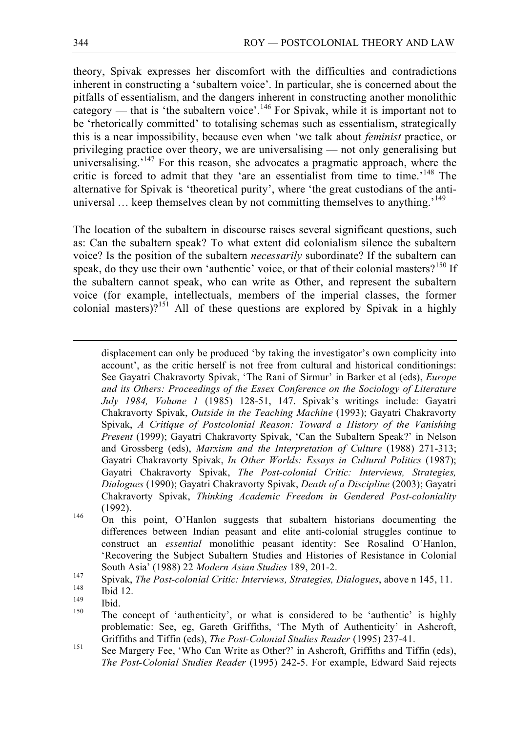theory, Spivak expresses her discomfort with the difficulties and contradictions inherent in constructing a 'subaltern voice'. In particular, she is concerned about the pitfalls of essentialism, and the dangers inherent in constructing another monolithic category — that is 'the subaltern voice'.<sup>146</sup> For Spivak, while it is important not to be 'rhetorically committed' to totalising schemas such as essentialism, strategically this is a near impossibility, because even when 'we talk about *feminist* practice, or privileging practice over theory, we are universalising — not only generalising but universalising.<sup>147</sup> For this reason, she advocates a pragmatic approach, where the critic is forced to admit that they 'are an essentialist from time to time.<sup>148</sup> The alternative for Spivak is 'theoretical purity', where 'the great custodians of the antiuniversal ... keep themselves clean by not committing themselves to anything.<sup>'149</sup>

The location of the subaltern in discourse raises several significant questions, such as: Can the subaltern speak? To what extent did colonialism silence the subaltern voice? Is the position of the subaltern *necessarily* subordinate? If the subaltern can speak, do they use their own 'authentic' voice, or that of their colonial masters?<sup>150</sup> If the subaltern cannot speak, who can write as Other, and represent the subaltern voice (for example, intellectuals, members of the imperial classes, the former colonial masters)?<sup>151</sup> All of these questions are explored by Spivak in a highly

 displacement can only be produced 'by taking the investigator's own complicity into account', as the critic herself is not free from cultural and historical conditionings: See Gayatri Chakravorty Spivak, 'The Rani of Sirmur' in Barker et al (eds), *Europe and its Others: Proceedings of the Essex Conference on the Sociology of Literature July 1984, Volume 1* (1985) 128-51, 147. Spivak's writings include: Gayatri Chakravorty Spivak, *Outside in the Teaching Machine* (1993); Gayatri Chakravorty Spivak, *A Critique of Postcolonial Reason: Toward a History of the Vanishing Present* (1999); Gayatri Chakravorty Spivak, 'Can the Subaltern Speak?' in Nelson and Grossberg (eds), *Marxism and the Interpretation of Culture* (1988) 271-313; Gayatri Chakravorty Spivak, *In Other Worlds: Essays in Cultural Politics* (1987); Gayatri Chakravorty Spivak, *The Post-colonial Critic: Interviews, Strategies, Dialogues* (1990); Gayatri Chakravorty Spivak, *Death of a Discipline* (2003); Gayatri Chakravorty Spivak, *Thinking Academic Freedom in Gendered Post-coloniality* (1992).<br><sup>146</sup> On this point, O'Hanlon suggests that subaltern historians documenting the

differences between Indian peasant and elite anti-colonial struggles continue to construct an *essential* monolithic peasant identity: See Rosalind O'Hanlon, 'Recovering the Subject Subaltern Studies and Histories of Resistance in Colonial

South Asia' (1988) 22 Modern Asian Studies 189, 201-2.<br>
<sup>147</sup> Spivak, *The Post-colonial Critic: Interviews, Strategies, Dialogues, above n 145, 11.*<br>
<sup>148</sup> Ibid.<br>
<sup>149</sup> Ibid.<br>
<sup>150</sup> The concept of 'authenticity', or what problematic: See, eg, Gareth Griffiths, 'The Myth of Authenticity' in Ashcroft, Griffiths and Tiffin (eds), *The Post-Colonial Studies Reader* (1995) 237-41.<br><sup>151</sup> See Margery Fee, 'Who Can Write as Other?' in Ashcroft, Griffiths and Tiffin (eds),

*The Post-Colonial Studies Reader* (1995) 242-5. For example, Edward Said rejects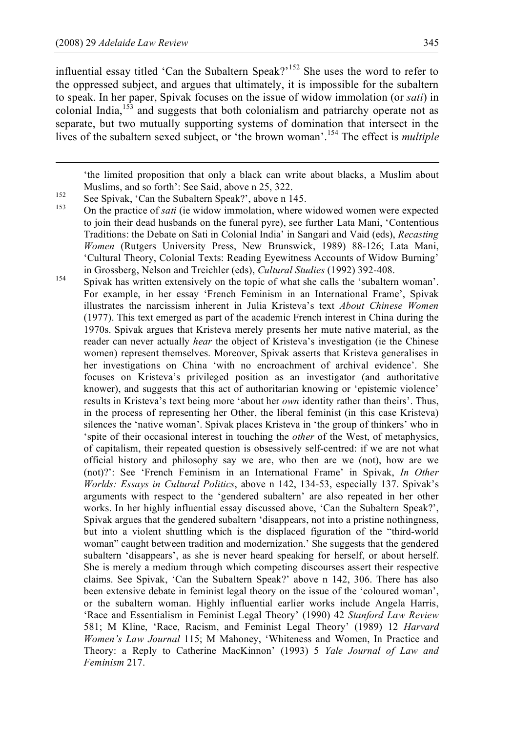influential essay titled 'Can the Subaltern Speak?'<sup>152</sup> She uses the word to refer to the oppressed subject, and argues that ultimately, it is impossible for the subaltern to speak. In her paper, Spivak focuses on the issue of widow immolation (or *sati*) in colonial India,<sup>153</sup> and suggests that both colonialism and patriarchy operate not as separate, but two mutually supporting systems of domination that intersect in the lives of the subaltern sexed subject, or 'the brown woman'. <sup>154</sup> The effect is *multiple*

'the limited proposition that only <sup>a</sup> black can write about blacks, <sup>a</sup> Muslim about

Muslims, and so forth': See Said, above n 25, 322.<br><sup>152</sup> See Spivak, 'Can the Subaltern Speak?', above n 145.<br><sup>153</sup> On the practice of *sati* (ie widow immolation, where widowed women were expected to join their dead husbands on the funeral pyre), see further Lata Mani, 'Contentious Traditions: the Debate on Sati in Colonial India' in Sangari and Vaid (eds), *Recasting Women* (Rutgers University Press, New Brunswick, 1989) 88-126; Lata Mani, 'Cultural Theory, Colonial Texts: Reading Eyewitness Accounts of Widow Burning' in Grossberg, Nelson and Treichler (eds), *Cultural Studies* (1992) 392-408.<br>Spivak has written extensively on the topic of what she calls the 'subaltern woman'.

For example, in her essay 'French Feminism in an International Frame', Spivak illustrates the narcissism inherent in Julia Kristeva's text *About Chinese Women* (1977). This text emerged as part of the academic French interest in China during the 1970s. Spivak argues that Kristeva merely presents her mute native material, as the reader can never actually *hear* the object of Kristeva's investigation (ie the Chinese women) represent themselves. Moreover, Spivak asserts that Kristeva generalises in her investigations on China 'with no encroachment of archival evidence'. She focuses on Kristeva's privileged position as an investigator (and authoritative knower), and suggests that this act of authoritarian knowing or 'epistemic violence' results in Kristeva's text being more 'about her *own* identity rather than theirs'. Thus, in the process of representing her Other, the liberal feminist (in this case Kristeva) silences the 'native woman'. Spivak places Kristeva in 'the group of thinkers' who in 'spite of their occasional interest in touching the *other* of the West, of metaphysics, of capitalism, their repeated question is obsessively self-centred: if we are not what official history and philosophy say we are, who then are we (not), how are we (not)?': See 'French Feminism in an International Frame' in Spivak, *In Other Worlds: Essays in Cultural Politics*, above n 142, 134-53, especially 137. Spivak's arguments with respect to the 'gendered subaltern' are also repeated in her other works. In her highly influential essay discussed above, 'Can the Subaltern Speak?', Spivak argues that the gendered subaltern 'disappears, not into a pristine nothingness, but into a violent shuttling which is the displaced figuration of the "third-world woman" caught between tradition and modernization.' She suggests that the gendered subaltern 'disappears', as she is never heard speaking for herself, or about herself. She is merely a medium through which competing discourses assert their respective claims. See Spivak, 'Can the Subaltern Speak?' above n 142, 306. There has also been extensive debate in feminist legal theory on the issue of the 'coloured woman', or the subaltern woman. Highly influential earlier works include Angela Harris, 'Race and Essentialism in Feminist Legal Theory' (1990) 42 *Stanford Law Review* 581; M Kline, 'Race, Racism, and Feminist Legal Theory' (1989) 12 *Harvard Women's Law Journal* 115; M Mahoney, 'Whiteness and Women, In Practice and Theory: a Reply to Catherine MacKinnon' (1993) 5 *Yale Journal of Law and Feminism* 217.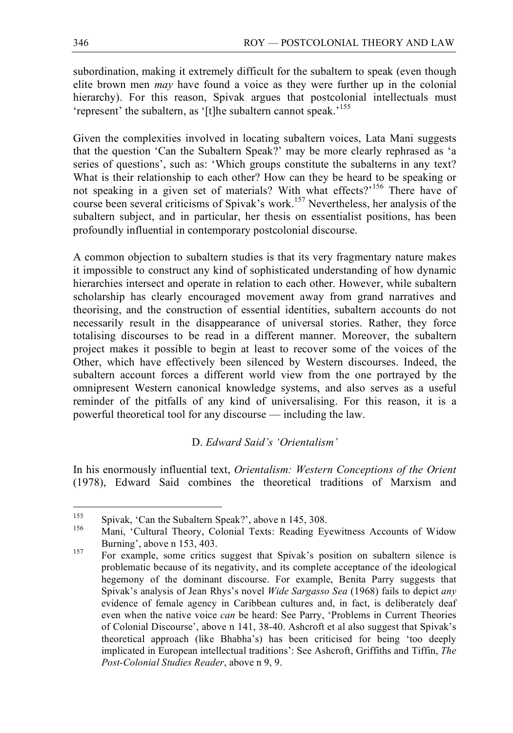subordination, making it extremely difficult for the subaltern to speak (even though elite brown men *may* have found a voice as they were further up in the colonial hierarchy). For this reason, Spivak argues that postcolonial intellectuals must 'represent' the subaltern, as '[t]he subaltern cannot speak.'<sup>155</sup>

Given the complexities involved in locating subaltern voices, Lata Mani suggests that the question 'Can the Subaltern Speak?' may be more clearly rephrased as 'a series of questions', such as: 'Which groups constitute the subalterns in any text? What is their relationship to each other? How can they be heard to be speaking or not speaking in a given set of materials? With what effects?'<sup>156</sup> There have of course been several criticisms of Spivak's work. <sup>157</sup> Nevertheless, her analysis of the subaltern subject, and in particular, her thesis on essentialist positions, has been profoundly influential in contemporary postcolonial discourse.

A common objection to subaltern studies is that its very fragmentary nature makes it impossible to construct any kind of sophisticated understanding of how dynamic hierarchies intersect and operate in relation to each other. However, while subaltern scholarship has clearly encouraged movement away from grand narratives and theorising, and the construction of essential identities, subaltern accounts do not necessarily result in the disappearance of universal stories. Rather, they force totalising discourses to be read in a different manner. Moreover, the subaltern project makes it possible to begin at least to recover some of the voices of the Other, which have effectively been silenced by Western discourses. Indeed, the subaltern account forces a different world view from the one portrayed by the omnipresent Western canonical knowledge systems, and also serves as a useful reminder of the pitfalls of any kind of universalising. For this reason, it is a powerful theoretical tool for any discourse — including the law.

# D. *Edward Said's 'Orientalism'*

In his enormously influential text, *Orientalism: Western Conceptions of the Orient* (1978), Edward Said combines the theoretical traditions of Marxism and

<sup>&</sup>lt;sup>155</sup> Spivak, 'Can the Subaltern Speak?', above n 145, 308.<br><sup>156</sup> Mani, 'Cultural Theory, Colonial Texts: Reading Eyewitness Accounts of Widow Burning', above n 153, 403.<br>
For example, some critics suggest that Spivak's position on subaltern silence is

problematic because of its negativity, and its complete acceptance of the ideological hegemony of the dominant discourse. For example, Benita Parry suggests that Spivak's analysis of Jean Rhys's novel *Wide Sargasso Sea* (1968) fails to depict *any* evidence of female agency in Caribbean cultures and, in fact, is deliberately deaf even when the native voice *can* be heard: See Parry, 'Problems in Current Theories of Colonial Discourse', above n 141, 38-40. Ashcroft et al also suggest that Spivak's theoretical approach (like Bhabha's) has been criticised for being 'too deeply implicated in European intellectual traditions': See Ashcroft, Griffiths and Tiffin, *The Post-Colonial Studies Reader*, above n 9, 9.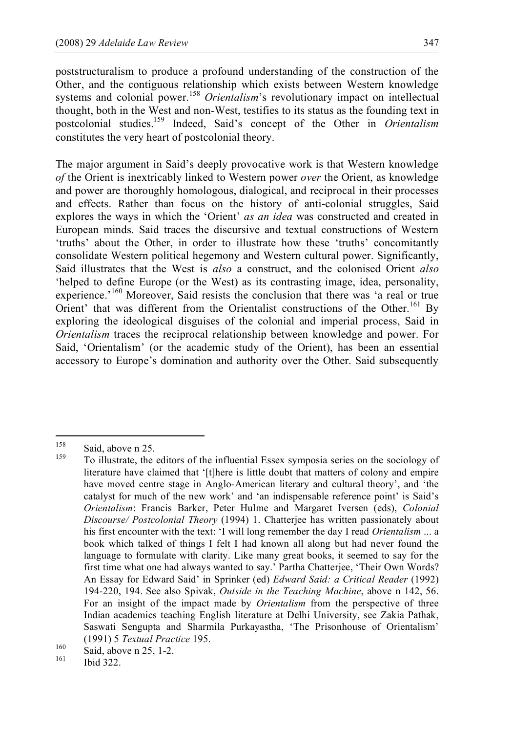poststructuralism to produce a profound understanding of the construction of the Other, and the contiguous relationship which exists between Western knowledge systems and colonial power.<sup>158</sup> *Orientalism*'s revolutionary impact on intellectual thought, both in the West and non-West, testifies to its status as the founding text in postcolonial studies. <sup>159</sup> Indeed, Said's concept of the Other in *Orientalism* constitutes the very heart of postcolonial theory.

The major argument in Said's deeply provocative work is that Western knowledge *of* the Orient is inextricably linked to Western power *over* the Orient, as knowledge and power are thoroughly homologous, dialogical, and reciprocal in their processes and effects. Rather than focus on the history of anti-colonial struggles, Said explores the ways in which the 'Orient' *as an idea* was constructed and created in European minds. Said traces the discursive and textual constructions of Western 'truths' about the Other, in order to illustrate how these 'truths' concomitantly consolidate Western political hegemony and Western cultural power. Significantly, Said illustrates that the West is *also* a construct, and the colonised Orient *also* 'helped to define Europe (or the West) as its contrasting image, idea, personality, experience.<sup>160</sup> Moreover, Said resists the conclusion that there was 'a real or true Orient' that was different from the Orientalist constructions of the Other.<sup>161</sup> By exploring the ideological disguises of the colonial and imperial process, Said in *Orientalism* traces the reciprocal relationship between knowledge and power. For Said, 'Orientalism' (or the academic study of the Orient), has been an essential accessory to Europe's domination and authority over the Other. Said subsequently

<sup>&</sup>lt;sup>158</sup> Said, above n 25.<br><sup>159</sup> To illustrate, the editors of the influential Essex symposia series on the sociology of literature have claimed that '[t]here is little doubt that matters of colony and empire have moved centre stage in Anglo-American literary and cultural theory', and 'the catalyst for much of the new work' and 'an indispensable reference point' is Said's *Orientalism*: Francis Barker, Peter Hulme and Margaret Iversen (eds), *Colonial Discourse/ Postcolonial Theory* (1994) 1. Chatterjee has written passionately about his first encounter with the text: 'I will long remember the day I read *Orientalism* ... a book which talked of things I felt I had known all along but had never found the language to formulate with clarity. Like many great books, it seemed to say for the first time what one had always wanted to say.' Partha Chatterjee, 'Their Own Words? An Essay for Edward Said' in Sprinker (ed) *Edward Said: a Critical Reader* (1992) 194-220, 194. See also Spivak, *Outside in the Teaching Machine*, above n 142, 56. For an insight of the impact made by *Orientalism* from the perspective of three Indian academics teaching English literature at Delhi University, see Zakia Pathak, Saswati Sengupta and Sharmila Purkayastha, 'The Prisonhouse of Orientalism' (1991) 5 *Textual Practice* 195.<br>
Said, above n 25, 1-2.<br>
Ibid 322.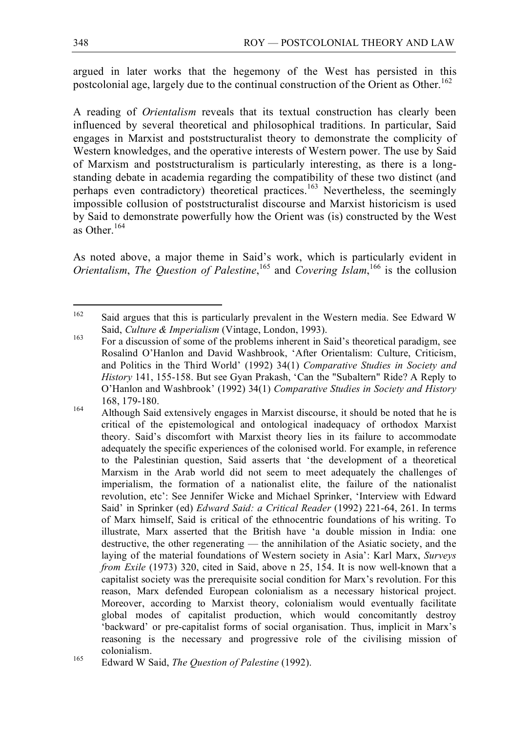argued in later works that the hegemony of the West has persisted in this postcolonial age, largely due to the continual construction of the Orient as Other.<sup>162</sup>

A reading of *Orientalism* reveals that its textual construction has clearly been influenced by several theoretical and philosophical traditions. In particular, Said engages in Marxist and poststructuralist theory to demonstrate the complicity of Western knowledges, and the operative interests of Western power. The use by Said of Marxism and poststructuralism is particularly interesting, as there is a longstanding debate in academia regarding the compatibility of these two distinct (and perhaps even contradictory) theoretical practices.<sup>163</sup> Nevertheless, the seemingly impossible collusion of poststructuralist discourse and Marxist historicism is used by Said to demonstrate powerfully how the Orient was (is) constructed by the West as Other. 164

As noted above, a major theme in Said's work, which is particularly evident in *Orientalism, The Question of Palestine*, <sup>165</sup> and *Covering Islam*, <sup>166</sup> is the collusion

<sup>&</sup>lt;sup>162</sup> Said argues that this is particularly prevalent in the Western media. See Edward W

Said, *Culture & Imperialism* (Vintage, London, 1993).<br><sup>163</sup> For a discussion of some of the problems inherent in Said's theoretical paradigm, see Rosalind O'Hanlon and David Washbrook, 'After Orientalism: Culture, Criticism, and Politics in the Third World' (1992) 34(1) *Comparative Studies in Society and History* 141, 155-158. But see Gyan Prakash, 'Can the "Subaltern" Ride? A Reply to O'Hanlon and Washbrook' (1992) 34(1) *Comparative Studies in Society and History*

<sup>168, 179-180.&</sup>lt;br><sup>164</sup> Although Said extensively engages in Marxist discourse, it should be noted that he is critical of the epistemological and ontological inadequacy of orthodox Marxist theory. Said's discomfort with Marxist theory lies in its failure to accommodate adequately the specific experiences of the colonised world. For example, in reference to the Palestinian question, Said asserts that 'the development of a theoretical Marxism in the Arab world did not seem to meet adequately the challenges of imperialism, the formation of a nationalist elite, the failure of the nationalist revolution, etc': See Jennifer Wicke and Michael Sprinker, 'Interview with Edward Said' in Sprinker (ed) *Edward Said: a Critical Reader* (1992) 221-64, 261. In terms of Marx himself, Said is critical of the ethnocentric foundations of his writing. To illustrate, Marx asserted that the British have 'a double mission in India: one destructive, the other regenerating — the annihilation of the Asiatic society, and the laying of the material foundations of Western society in Asia': Karl Marx, *Surveys from Exile* (1973) 320, cited in Said, above n 25, 154. It is now well-known that a capitalist society was the prerequisite social condition for Marx's revolution. For this reason, Marx defended European colonialism as a necessary historical project. Moreover, according to Marxist theory, colonialism would eventually facilitate global modes of capitalist production, which would concomitantly destroy 'backward' or pre-capitalist forms of social organisation. Thus, implicit in Marx's reasoning is the necessary and progressive role of the civilising mission of colonialism. <sup>165</sup> Edward <sup>W</sup> Said, *The Question of Palestine* (1992).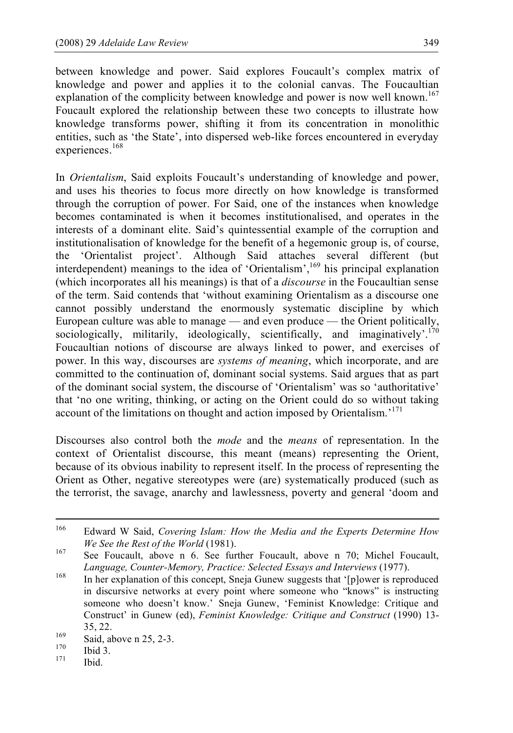between knowledge and power. Said explores Foucault's complex matrix of knowledge and power and applies it to the colonial canvas. The Foucaultian explanation of the complicity between knowledge and power is now well known.<sup>167</sup> Foucault explored the relationship between these two concepts to illustrate how knowledge transforms power, shifting it from its concentration in monolithic entities, such as 'the State', into dispersed web-like forces encountered in everyday experiences. 168

In *Orientalism*, Said exploits Foucault's understanding of knowledge and power, and uses his theories to focus more directly on how knowledge is transformed through the corruption of power. For Said, one of the instances when knowledge becomes contaminated is when it becomes institutionalised, and operates in the interests of a dominant elite. Said's quintessential example of the corruption and institutionalisation of knowledge for the benefit of a hegemonic group is, of course, the 'Orientalist project'. Although Said attaches several different (but interdependent) meanings to the idea of 'Orientalism', <sup>169</sup> his principal explanation (which incorporates all his meanings) is that of a *discourse* in the Foucaultian sense of the term. Said contends that 'without examining Orientalism as a discourse one cannot possibly understand the enormously systematic discipline by which European culture was able to manage — and even produce — the Orient politically, sociologically, militarily, ideologically, scientifically, and imaginatively'.<sup>170</sup> Foucaultian notions of discourse are always linked to power, and exercises of power. In this way, discourses are *systems of meaning*, which incorporate, and are committed to the continuation of, dominant social systems. Said argues that as part of the dominant social system, the discourse of 'Orientalism' was so 'authoritative' that 'no one writing, thinking, or acting on the Orient could do so without taking account of the limitations on thought and action imposed by Orientalism.<sup>171</sup>

Discourses also control both the *mode* and the *means* of representation. In the context of Orientalist discourse, this meant (means) representing the Orient, because of its obvious inability to represent itself. In the process of representing the Orient as Other, negative stereotypes were (are) systematically produced (such as the terrorist, the savage, anarchy and lawlessness, poverty and general 'doom and

 <sup>166</sup> Edward <sup>W</sup> Said, *Covering Islam: How the Media and the Experts Determine How We See the Rest of the World* (1981).<br><sup>167</sup> See Foucault, above n 6. See further Foucault, above n 70; Michel Foucault,

*Language, Counter-Memory, Practice: Selected Essays and Interviews* (1977).<br><sup>168</sup> In her explanation of this concept, Sneja Gunew suggests that '[p]ower is reproduced in discursive networks at every point where someone who "knows" is instructing someone who doesn't know.' Sneja Gunew, 'Feminist Knowledge: Critique and Construct' in Gunew (ed), *Feminist Knowledge: Critique and Construct* (1990) 13-

 $\begin{array}{r} 35, 22. \\ \text{Said, above n } 25, 2-3. \\ \text{170} \\ 171 \quad \text{Ibid.} \end{array}$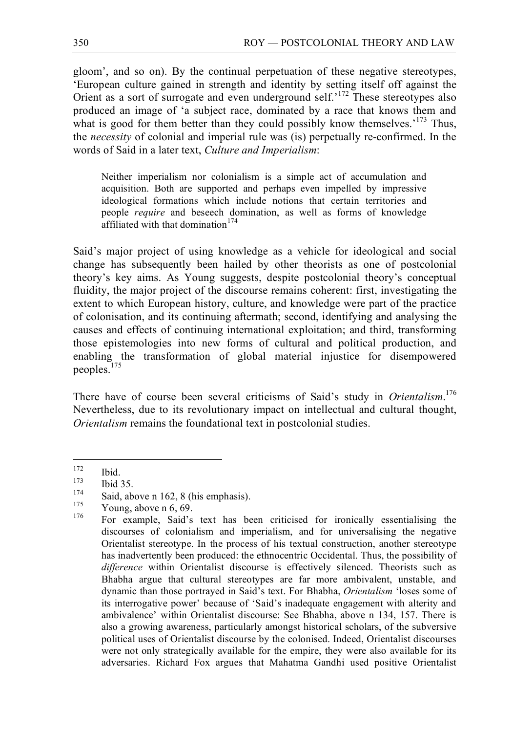gloom', and so on). By the continual perpetuation of these negative stereotypes, 'European culture gained in strength and identity by setting itself off against the Orient as a sort of surrogate and even underground self.<sup>172</sup> These stereotypes also produced an image of 'a subject race, dominated by a race that knows them and what is good for them better than they could possibly know themselves.<sup>173</sup> Thus, the *necessity* of colonial and imperial rule was (is) perpetually re-confirmed. In the words of Said in a later text, *Culture and Imperialism*:

Neither imperialism nor colonialism is a simple act of accumulation and acquisition. Both are supported and perhaps even impelled by impressive ideological formations which include notions that certain territories and people *require* and beseech domination, as well as forms of knowledge affiliated with that domination<sup>174</sup>

Said's major project of using knowledge as a vehicle for ideological and social change has subsequently been hailed by other theorists as one of postcolonial theory's key aims. As Young suggests, despite postcolonial theory's conceptual fluidity, the major project of the discourse remains coherent: first, investigating the extent to which European history, culture, and knowledge were part of the practice of colonisation, and its continuing aftermath; second, identifying and analysing the causes and effects of continuing international exploitation; and third, transforming those epistemologies into new forms of cultural and political production, and enabling the transformation of global material injustice for disempowered peoples. 175

There have of course been several criticisms of Said's study in *Orientalism*. 176 Nevertheless, due to its revolutionary impact on intellectual and cultural thought, *Orientalism* remains the foundational text in postcolonial studies.

<sup>&</sup>lt;sup>172</sup> Ibid.<br>
<sup>173</sup> Ibid 35.<br>
Said, above n 162, 8 (his emphasis).<br>
<sup>175</sup> Young, above n 6, 69.<br>
For example, Said's text has been criticised for ironically essentialising the discourses of colonialism and imperialism, and for universalising the negative Orientalist stereotype. In the process of his textual construction, another stereotype has inadvertently been produced: the ethnocentric Occidental. Thus, the possibility of *difference* within Orientalist discourse is effectively silenced. Theorists such as Bhabha argue that cultural stereotypes are far more ambivalent, unstable, and dynamic than those portrayed in Said's text. For Bhabha, *Orientalism* 'loses some of its interrogative power' because of 'Said's inadequate engagement with alterity and ambivalence' within Orientalist discourse: See Bhabha, above n 134, 157. There is also a growing awareness, particularly amongst historical scholars, of the subversive political uses of Orientalist discourse by the colonised. Indeed, Orientalist discourses were not only strategically available for the empire, they were also available for its adversaries. Richard Fox argues that Mahatma Gandhi used positive Orientalist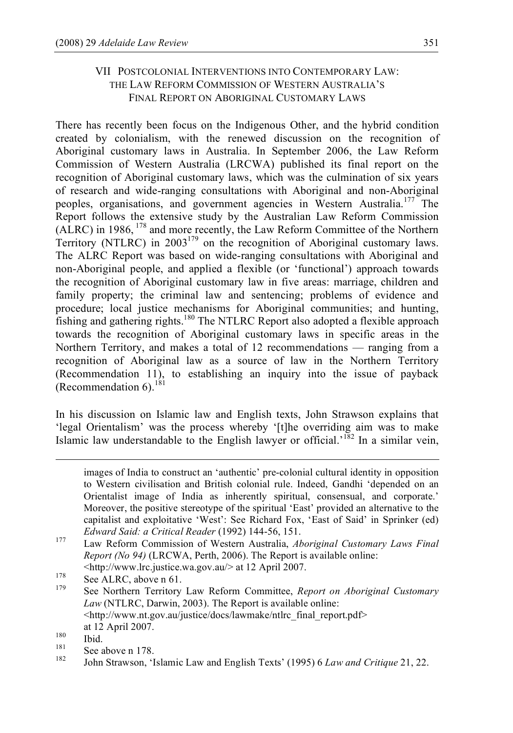# VII POSTCOLONIAL INTERVENTIONS INTO CONTEMPORARY LAW: THE LAW REFORM COMMISSION OF WESTERN AUSTRALIA'S FINAL REPORT ON ABORIGINAL CUSTOMARY LAWS

There has recently been focus on the Indigenous Other, and the hybrid condition created by colonialism, with the renewed discussion on the recognition of Aboriginal customary laws in Australia. In September 2006, the Law Reform Commission of Western Australia (LRCWA) published its final report on the recognition of Aboriginal customary laws, which was the culmination of six years of research and wide-ranging consultations with Aboriginal and non-Aboriginal peoples, organisations, and government agencies in Western Australia.<sup>177</sup> The Report follows the extensive study by the Australian Law Reform Commission  $(ALRC)$  in 1986,  $^{178}$  and more recently, the Law Reform Committee of the Northern Territory (NTLRC) in 2003<sup>179</sup> on the recognition of Aboriginal customary laws. The ALRC Report was based on wide-ranging consultations with Aboriginal and non-Aboriginal people, and applied a flexible (or 'functional') approach towards the recognition of Aboriginal customary law in five areas: marriage, children and family property; the criminal law and sentencing; problems of evidence and procedure; local justice mechanisms for Aboriginal communities; and hunting, fishing and gathering rights.<sup>180</sup> The NTLRC Report also adopted a flexible approach towards the recognition of Aboriginal customary laws in specific areas in the Northern Territory, and makes a total of 12 recommendations — ranging from a recognition of Aboriginal law as a source of law in the Northern Territory (Recommendation 11), to establishing an inquiry into the issue of payback (Recommendation  $6$ ).<sup>181</sup>

In his discussion on Islamic law and English texts, John Strawson explains that 'legal Orientalism' was the process whereby '[t]he overriding aim was to make Islamic law understandable to the English lawyer or official.<sup>182</sup> In a similar vein,

<http://www.lrc.justice.wa.gov.au/> at <sup>12</sup> April 2007. <sup>178</sup> See ALRC, above <sup>n</sup> 61. <sup>179</sup> See Northern Territory Law Reform Committee, *Report on Aboriginal Customary Law* (NTLRC, Darwin, 2003). The Report is available online: <http://www.nt.gov.au/justice/docs/lawmake/ntlrc\_final\_report.pdf>

images of India to construct an 'authentic' pre-colonial cultural identity in opposition to Western civilisation and British colonial rule. Indeed, Gandhi 'depended on an Orientalist image of India as inherently spiritual, consensual, and corporate.' Moreover, the positive stereotype of the spiritual 'East' provided an alternative to the capitalist and exploitative 'West': See Richard Fox, 'East of Said' in Sprinker (ed)

*Edward Said: <sup>a</sup> Critical Reader* (1992) 144-56, 151. <sup>177</sup> Law Reform Commission of Western Australia, *Aboriginal Customary Laws Final Report (No 94)* (LRCWA, Perth, 2006). The Report is available online:

at 12 April 2007.<br>
180 Ibid.<br>
181 See above n 178.<br>
182 John Strawson, 'Islamic Law and English Texts' (1995) 6 *Law and Critique* 21, 22.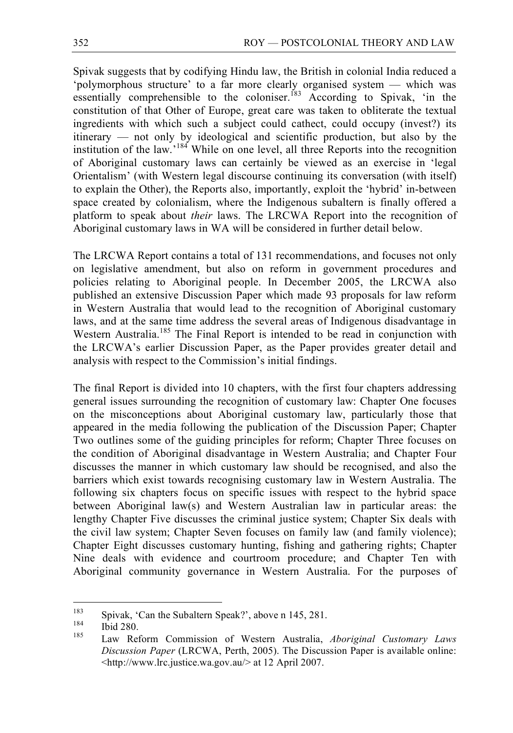Spivak suggests that by codifying Hindu law, the British in colonial India reduced a 'polymorphous structure' to a far more clearly organised system — which was essentially comprehensible to the coloniser.<sup>[83</sup> According to Spivak, 'in the constitution of that Other of Europe, great care was taken to obliterate the textual ingredients with which such a subject could cathect, could occupy (invest?) its itinerary — not only by ideological and scientific production, but also by the institution of the law.<sup>184</sup> While on one level, all three Reports into the recognition of Aboriginal customary laws can certainly be viewed as an exercise in 'legal Orientalism' (with Western legal discourse continuing its conversation (with itself) to explain the Other), the Reports also, importantly, exploit the 'hybrid' in-between space created by colonialism, where the Indigenous subaltern is finally offered a platform to speak about *their* laws. The LRCWA Report into the recognition of Aboriginal customary laws in WA will be considered in further detail below.

The LRCWA Report contains a total of 131 recommendations, and focuses not only on legislative amendment, but also on reform in government procedures and policies relating to Aboriginal people. In December 2005, the LRCWA also published an extensive Discussion Paper which made 93 proposals for law reform in Western Australia that would lead to the recognition of Aboriginal customary laws, and at the same time address the several areas of Indigenous disadvantage in Western Australia.<sup>185</sup> The Final Report is intended to be read in conjunction with the LRCWA's earlier Discussion Paper, as the Paper provides greater detail and analysis with respect to the Commission's initial findings.

The final Report is divided into 10 chapters, with the first four chapters addressing general issues surrounding the recognition of customary law: Chapter One focuses on the misconceptions about Aboriginal customary law, particularly those that appeared in the media following the publication of the Discussion Paper; Chapter Two outlines some of the guiding principles for reform; Chapter Three focuses on the condition of Aboriginal disadvantage in Western Australia; and Chapter Four discusses the manner in which customary law should be recognised, and also the barriers which exist towards recognising customary law in Western Australia. The following six chapters focus on specific issues with respect to the hybrid space between Aboriginal law(s) and Western Australian law in particular areas: the lengthy Chapter Five discusses the criminal justice system; Chapter Six deals with the civil law system; Chapter Seven focuses on family law (and family violence); Chapter Eight discusses customary hunting, fishing and gathering rights; Chapter Nine deals with evidence and courtroom procedure; and Chapter Ten with Aboriginal community governance in Western Australia. For the purposes of

<sup>183</sup> Spivak, 'Can the Subaltern Speak?', above <sup>n</sup> 145, 281. <sup>184</sup> Ibid 280. <sup>185</sup> Law Reform Commission of Western Australia, *Aboriginal Customary Laws Discussion Paper* (LRCWA, Perth, 2005). The Discussion Paper is available online: <http://www.lrc.justice.wa.gov.au/> at 12 April 2007.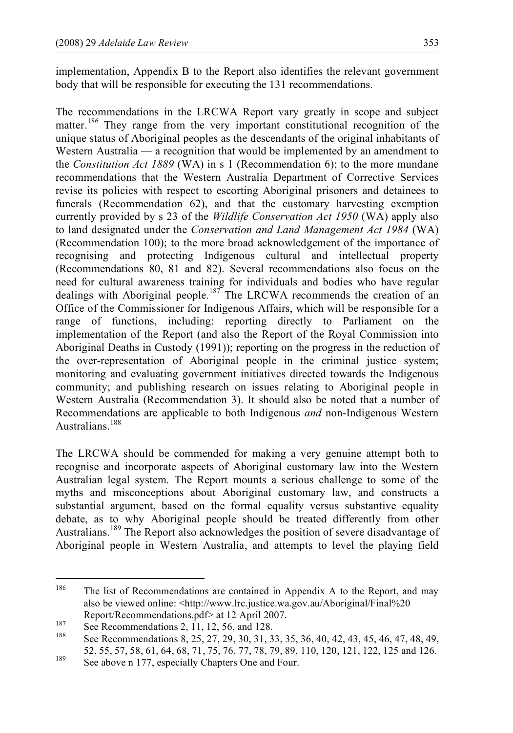implementation, Appendix B to the Report also identifies the relevant government body that will be responsible for executing the 131 recommendations.

The recommendations in the LRCWA Report vary greatly in scope and subject matter.<sup>186</sup> They range from the very important constitutional recognition of the unique status of Aboriginal peoples as the descendants of the original inhabitants of Western Australia — a recognition that would be implemented by an amendment to the *Constitution Act 1889* (WA) in s 1 (Recommendation 6); to the more mundane recommendations that the Western Australia Department of Corrective Services revise its policies with respect to escorting Aboriginal prisoners and detainees to funerals (Recommendation 62), and that the customary harvesting exemption currently provided by s 23 of the *Wildlife Conservation Act 1950* (WA) apply also to land designated under the *Conservation and Land Management Act 1984* (WA) (Recommendation 100); to the more broad acknowledgement of the importance of recognising and protecting Indigenous cultural and intellectual property (Recommendations 80, 81 and 82). Several recommendations also focus on the need for cultural awareness training for individuals and bodies who have regular dealings with Aboriginal people.<sup>187</sup> The LRCWA recommends the creation of an Office of the Commissioner for Indigenous Affairs, which will be responsible for a range of functions, including: reporting directly to Parliament on the implementation of the Report (and also the Report of the Royal Commission into Aboriginal Deaths in Custody (1991)); reporting on the progress in the reduction of the over-representation of Aboriginal people in the criminal justice system; monitoring and evaluating government initiatives directed towards the Indigenous community; and publishing research on issues relating to Aboriginal people in Western Australia (Recommendation 3). It should also be noted that a number of Recommendations are applicable to both Indigenous *and* non-Indigenous Western Australians.<sup>188</sup>

The LRCWA should be commended for making a very genuine attempt both to recognise and incorporate aspects of Aboriginal customary law into the Western Australian legal system. The Report mounts a serious challenge to some of the myths and misconceptions about Aboriginal customary law, and constructs a substantial argument, based on the formal equality versus substantive equality debate, as to why Aboriginal people should be treated differently from other Australians.<sup>189</sup> The Report also acknowledges the position of severe disadvantage of Aboriginal people in Western Australia, and attempts to level the playing field

<sup>&</sup>lt;sup>186</sup> The list of Recommendations are contained in Appendix A to the Report, and may also be viewed online: <http://www.lrc.justice.wa.gov.au/Aboriginal/Final%20 Report/Recommendations.pdf> at 12 April 2007.<br>
187 See Recommendations 2, 11, 12, 56, and 128.<br>
188 See Recommendations 8, 25, 27, 29, 30, 31, 33, 35, 36, 40, 42, 43, 45, 46, 47, 48, 49,

<sup>52, 55, 57, 58, 61, 64, 68, 71, 75, 76, 77, 78, 79, 89, 110, 120, 121, 122, 125</sup> and 126.<br><sup>189</sup> See above n 177, especially Chapters One and Four.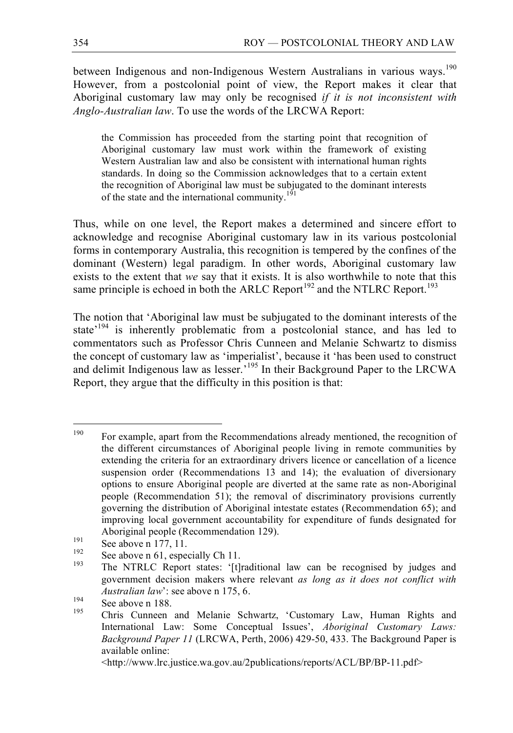between Indigenous and non-Indigenous Western Australians in various ways.<sup>190</sup> However, from a postcolonial point of view, the Report makes it clear that Aboriginal customary law may only be recognised *if it is not inconsistent with Anglo-Australian law*. To use the words of the LRCWA Report:

the Commission has proceeded from the starting point that recognition of Aboriginal customary law must work within the framework of existing Western Australian law and also be consistent with international human rights standards. In doing so the Commission acknowledges that to a certain extent the recognition of Aboriginal law must be subjugated to the dominant interests of the state and the international community.<sup>191</sup>

Thus, while on one level, the Report makes a determined and sincere effort to acknowledge and recognise Aboriginal customary law in its various postcolonial forms in contemporary Australia, this recognition is tempered by the confines of the dominant (Western) legal paradigm. In other words, Aboriginal customary law exists to the extent that *we* say that it exists. It is also worthwhile to note that this same principle is echoed in both the ARLC Report<sup>192</sup> and the NTLRC Report.<sup>193</sup>

The notion that 'Aboriginal law must be subjugated to the dominant interests of the state<sup>'194</sup> is inherently problematic from a postcolonial stance, and has led to commentators such as Professor Chris Cunneen and Melanie Schwartz to dismiss the concept of customary law as 'imperialist', because it 'has been used to construct and delimit Indigenous law as lesser.<sup>'195</sup> In their Background Paper to the LRCWA Report, they argue that the difficulty in this position is that:

<sup>&</sup>lt;sup>190</sup> For example, apart from the Recommendations already mentioned, the recognition of the different circumstances of Aboriginal people living in remote communities by extending the criteria for an extraordinary drivers licence or cancellation of a licence suspension order (Recommendations 13 and 14); the evaluation of diversionary options to ensure Aboriginal people are diverted at the same rate as non-Aboriginal people (Recommendation 51); the removal of discriminatory provisions currently governing the distribution of Aboriginal intestate estates (Recommendation 65); and improving local government accountability for expenditure of funds designated for

Aboriginal people (Recommendation 129).<br>
191 See above n 177, 11.<br>
192 See above n 61, especially Ch 11.<br>
193 The NTRLC Report states: '[t]raditional law can be recognised by judges and government decision makers where relevant *as long as it does not conflict with*

*Australian law*': see above n 175, 6.<br>
See above n 188.<br>
Chris Cunneen and Melanie Schwartz, 'Customary Law, Human Rights and International Law: Some Conceptual Issues', *Aboriginal Customary Laws: Background Paper 11* (LRCWA, Perth, 2006) 429-50, 433. The Background Paper is available online:

<sup>&</sup>lt;http://www.lrc.justice.wa.gov.au/2publications/reports/ACL/BP/BP-11.pdf>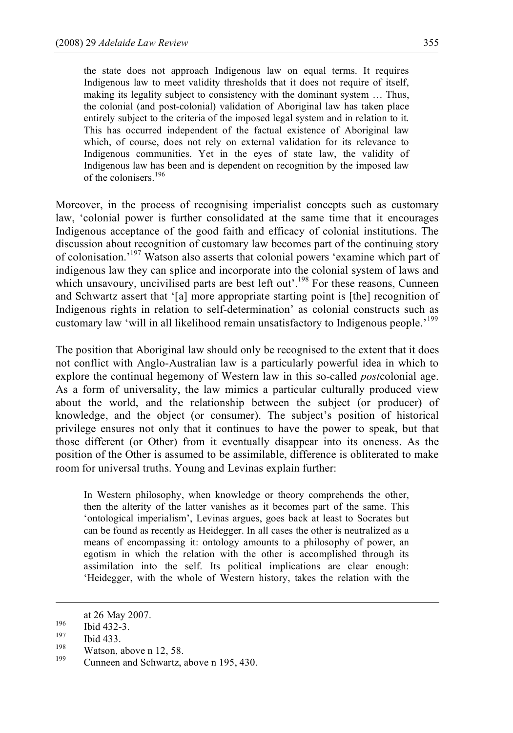the state does not approach Indigenous law on equal terms. It requires Indigenous law to meet validity thresholds that it does not require of itself, making its legality subject to consistency with the dominant system … Thus, the colonial (and post-colonial) validation of Aboriginal law has taken place entirely subject to the criteria of the imposed legal system and in relation to it. This has occurred independent of the factual existence of Aboriginal law which, of course, does not rely on external validation for its relevance to Indigenous communities. Yet in the eyes of state law, the validity of Indigenous law has been and is dependent on recognition by the imposed law of the colonisers. 196

Moreover, in the process of recognising imperialist concepts such as customary law, 'colonial power is further consolidated at the same time that it encourages Indigenous acceptance of the good faith and efficacy of colonial institutions. The discussion about recognition of customary law becomes part of the continuing story of colonisation.' <sup>197</sup> Watson also asserts that colonial powers 'examine which part of indigenous law they can splice and incorporate into the colonial system of laws and which unsavoury, uncivilised parts are best left out'.<sup>198</sup> For these reasons, Cunneen and Schwartz assert that '[a] more appropriate starting point is [the] recognition of Indigenous rights in relation to self-determination' as colonial constructs such as customary law 'will in all likelihood remain unsatisfactory to Indigenous people.<sup>'199</sup>

The position that Aboriginal law should only be recognised to the extent that it does not conflict with Anglo-Australian law is a particularly powerful idea in which to explore the continual hegemony of Western law in this so-called *post*colonial age. As a form of universality, the law mimics a particular culturally produced view about the world, and the relationship between the subject (or producer) of knowledge, and the object (or consumer). The subject's position of historical privilege ensures not only that it continues to have the power to speak, but that those different (or Other) from it eventually disappear into its oneness. As the position of the Other is assumed to be assimilable, difference is obliterated to make room for universal truths. Young and Levinas explain further:

In Western philosophy, when knowledge or theory comprehends the other, then the alterity of the latter vanishes as it becomes part of the same. This 'ontological imperialism', Levinas argues, goes back at least to Socrates but can be found as recently as Heidegger. In all cases the other is neutralized as a means of encompassing it: ontology amounts to a philosophy of power, an egotism in which the relation with the other is accomplished through its assimilation into the self. Its political implications are clear enough: 'Heidegger, with the whole of Western history, takes the relation with the

at 26 May 2007.<br>
<sup>196</sup> Ibid 432-3.<br>
<sup>197</sup> Ibid 433.<br>
Watson, above n 12, 58.<br>
<sup>199</sup> Cunneen and Schwartz, above n 195, 430.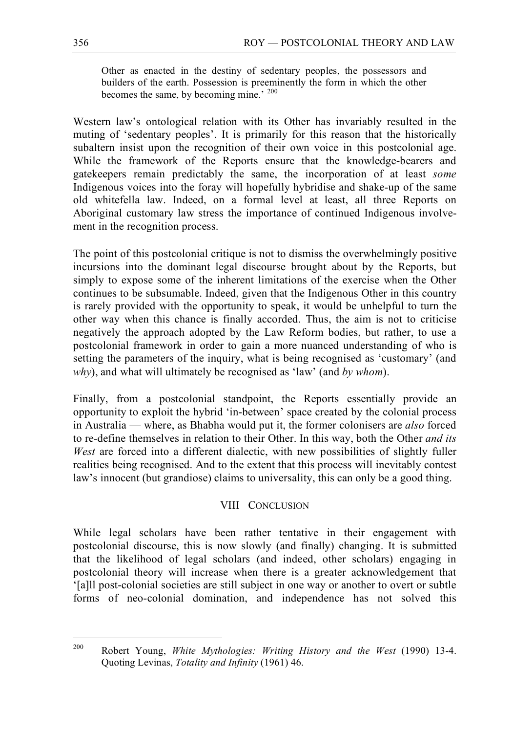Other as enacted in the destiny of sedentary peoples, the possessors and builders of the earth. Possession is preeminently the form in which the other becomes the same, by becoming mine.' <sup>200</sup>

Western law's ontological relation with its Other has invariably resulted in the muting of 'sedentary peoples'. It is primarily for this reason that the historically subaltern insist upon the recognition of their own voice in this postcolonial age. While the framework of the Reports ensure that the knowledge-bearers and gatekeepers remain predictably the same, the incorporation of at least *some* Indigenous voices into the foray will hopefully hybridise and shake-up of the same old whitefella law. Indeed, on a formal level at least, all three Reports on Aboriginal customary law stress the importance of continued Indigenous involvement in the recognition process.

The point of this postcolonial critique is not to dismiss the overwhelmingly positive incursions into the dominant legal discourse brought about by the Reports, but simply to expose some of the inherent limitations of the exercise when the Other continues to be subsumable. Indeed, given that the Indigenous Other in this country is rarely provided with the opportunity to speak, it would be unhelpful to turn the other way when this chance is finally accorded. Thus, the aim is not to criticise negatively the approach adopted by the Law Reform bodies, but rather, to use a postcolonial framework in order to gain a more nuanced understanding of who is setting the parameters of the inquiry, what is being recognised as 'customary' (and *why*), and what will ultimately be recognised as 'law' (and *by whom*).

Finally, from a postcolonial standpoint, the Reports essentially provide an opportunity to exploit the hybrid 'in-between' space created by the colonial process in Australia — where, as Bhabha would put it, the former colonisers are *also* forced to re-define themselves in relation to their Other. In this way, both the Other *and its West* are forced into a different dialectic, with new possibilities of slightly fuller realities being recognised. And to the extent that this process will inevitably contest law's innocent (but grandiose) claims to universality, this can only be a good thing.

### VIII CONCLUSION

While legal scholars have been rather tentative in their engagement with postcolonial discourse, this is now slowly (and finally) changing. It is submitted that the likelihood of legal scholars (and indeed, other scholars) engaging in postcolonial theory will increase when there is a greater acknowledgement that '[a]ll post-colonial societies are still subject in one way or another to overt or subtle forms of neo-colonial domination, and independence has not solved this

 <sup>200</sup> Robert Young, *White Mythologies: Writing History and the West* (1990) 13-4. Quoting Levinas, *Totality and Infinity* (1961) 46.